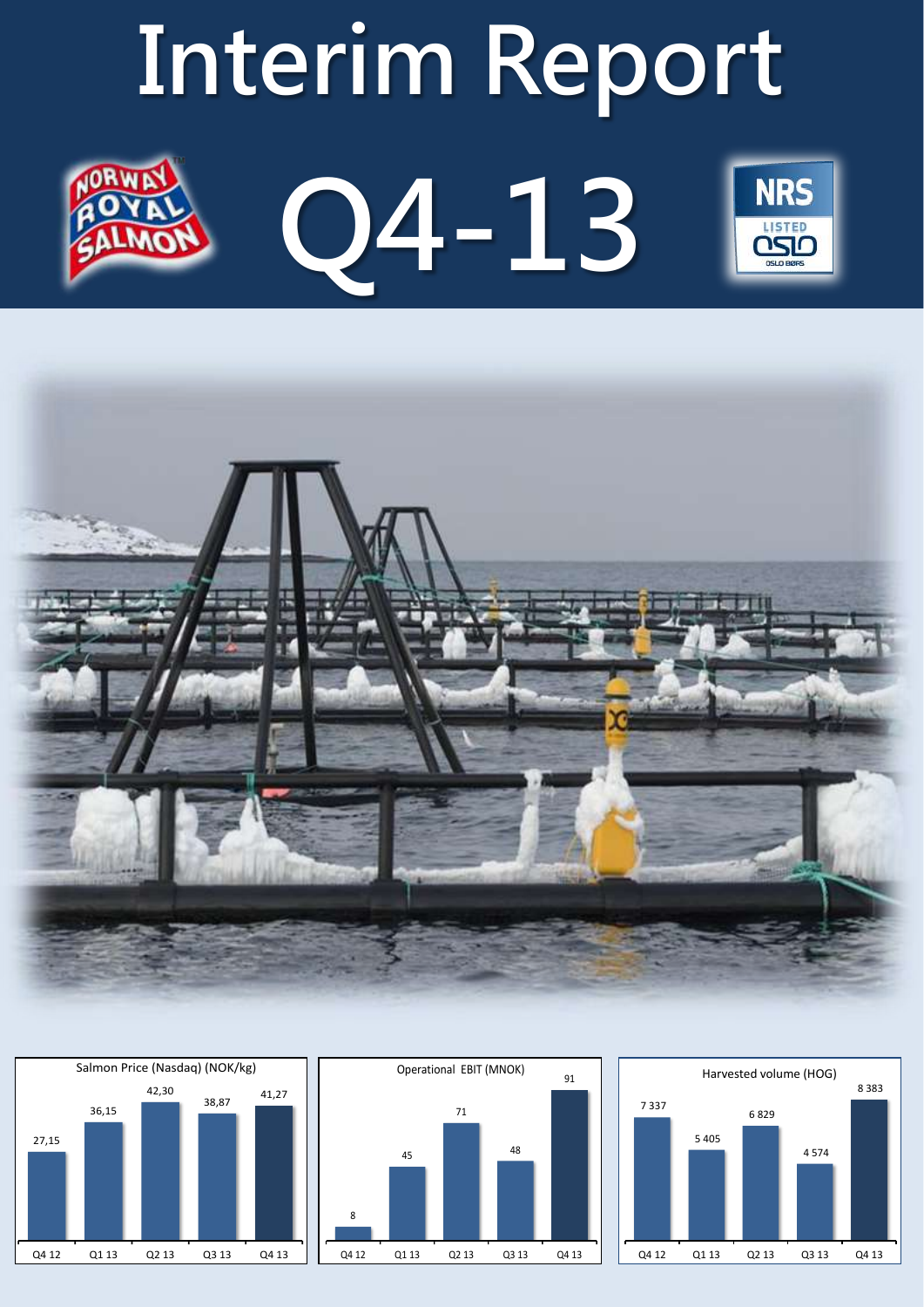# **Interim Report Q4-13 NRS LISTED**



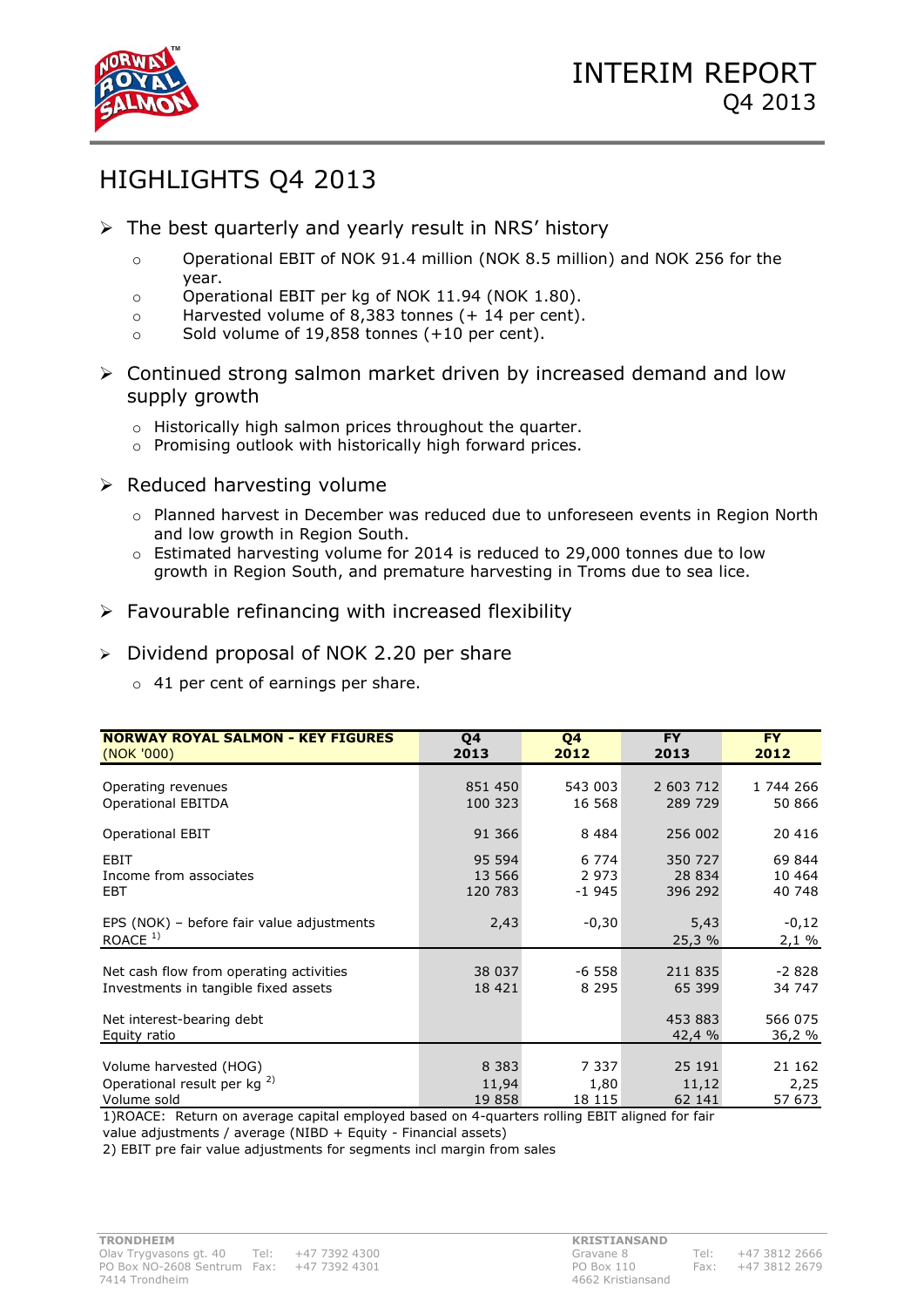

# HIGHLIGHTS Q4 2013

- $\triangleright$  The best quarterly and yearly result in NRS' history
	- o Operational EBIT of NOK 91.4 million (NOK 8.5 million) and NOK 256 for the year.
	- o Operational EBIT per kg of NOK 11.94 (NOK 1.80).
	- o Harvested volume of 8,383 tonnes (+ 14 per cent).
	- o Sold volume of 19,858 tonnes (+10 per cent).
- Continued strong salmon market driven by increased demand and low supply growth
	- o Historically high salmon prices throughout the quarter.
	- o Promising outlook with historically high forward prices.
- $\triangleright$  Reduced harvesting volume
	- o Planned harvest in December was reduced due to unforeseen events in Region North and low growth in Region South.
	- $\circ$  Estimated harvesting volume for 2014 is reduced to 29,000 tonnes due to low growth in Region South, and premature harvesting in Troms due to sea lice.
- $\triangleright$  Favourable refinancing with increased flexibility
- Dividend proposal of NOK 2.20 per share
	- o 41 per cent of earnings per share.

| <b>NORWAY ROYAL SALMON - KEY FIGURES</b>               | Q4      | Q4      | <b>FY</b>         | <b>FY</b>         |
|--------------------------------------------------------|---------|---------|-------------------|-------------------|
| (NOK '000)                                             | 2013    | 2012    | 2013              | 2012              |
| Operating revenues                                     | 851 450 | 543 003 | 2 603 712         | 1 744 266         |
| <b>Operational EBITDA</b>                              | 100 323 | 16 568  | 289 729           | 50 866            |
| <b>Operational EBIT</b>                                | 91 366  | 8 4 8 4 | 256 002           | 20 416            |
| EBIT                                                   | 95 594  | 6 7 7 4 | 350 727           | 69 844            |
| Income from associates                                 | 13 566  | 2 9 7 3 | 28 834            | 10 4 64           |
| EBT                                                    | 120 783 | $-1945$ | 396 292           | 40 748            |
| EPS (NOK) - before fair value adjustments<br>ROACE $1$ | 2,43    | $-0,30$ | 5,43<br>25,3%     | $-0,12$<br>2,1%   |
| Net cash flow from operating activities                | 38 037  | $-6558$ | 211 835           | $-2828$           |
| Investments in tangible fixed assets                   | 18 421  | 8 2 9 5 | 65 399            | 34 747            |
| Net interest-bearing debt<br>Equity ratio              |         |         | 453 883<br>42,4 % | 566 075<br>36,2 % |
| Volume harvested (HOG)                                 | 8 3 8 3 | 7 3 3 7 | 25 191            | 21 162            |
| Operational result per kg <sup>2)</sup>                | 11,94   | 1,80    | 11,12             | 2,25              |
| Volume sold                                            | 19858   | 18 115  | 62 141            | 57 673            |

1)ROACE: Return on average capital employed based on 4-quarters rolling EBIT aligned for fair

value adjustments / average (NIBD + Equity - Financial assets)

2) EBIT pre fair value adjustments for segments incl margin from sales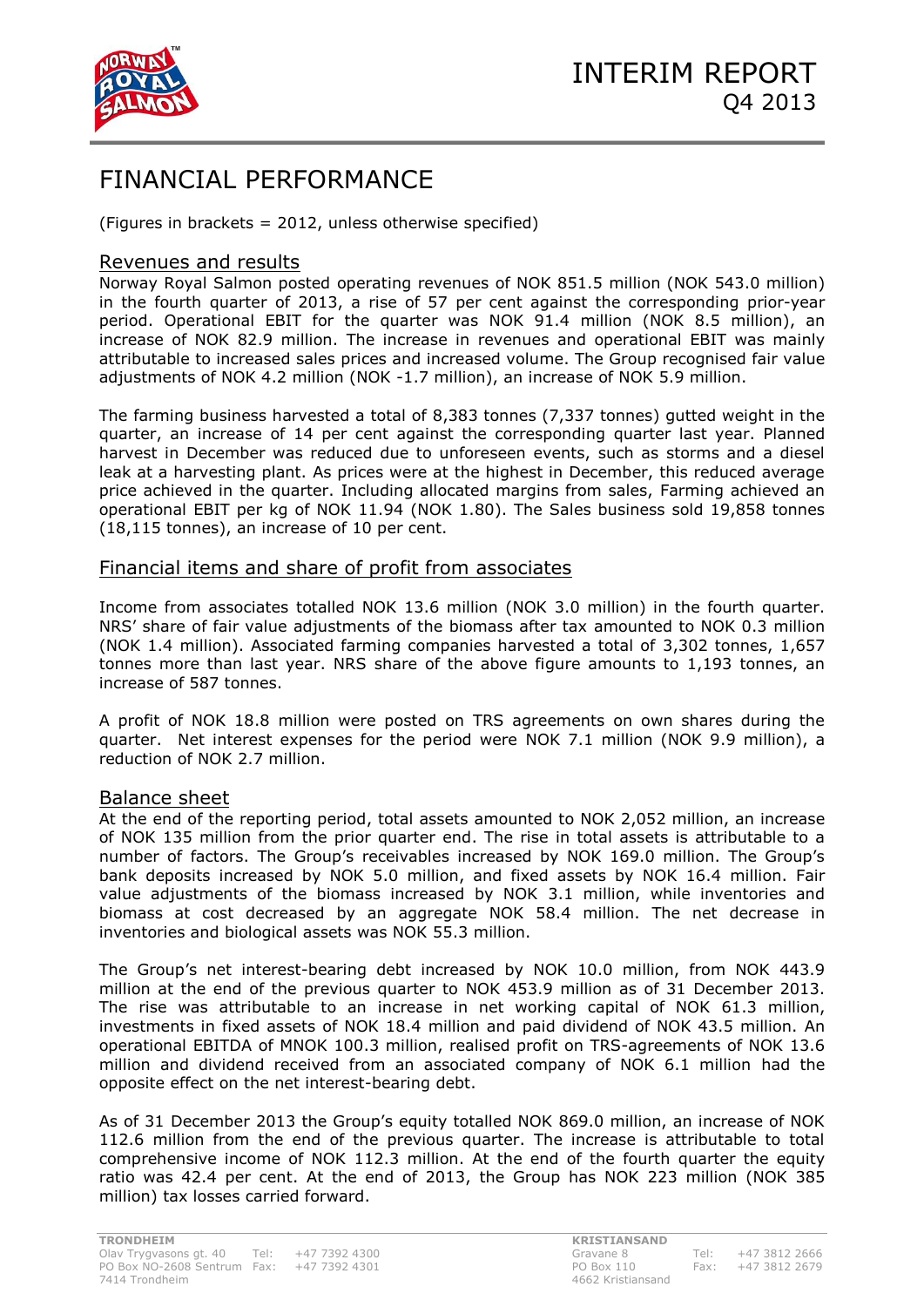

# FINANCIAL PERFORMANCE

(Figures in brackets = 2012, unless otherwise specified)

## Revenues and results

Norway Royal Salmon posted operating revenues of NOK 851.5 million (NOK 543.0 million) in the fourth quarter of 2013, a rise of 57 per cent against the corresponding prior-year period. Operational EBIT for the quarter was NOK 91.4 million (NOK 8.5 million), an increase of NOK 82.9 million. The increase in revenues and operational EBIT was mainly attributable to increased sales prices and increased volume. The Group recognised fair value adjustments of NOK 4.2 million (NOK -1.7 million), an increase of NOK 5.9 million.

The farming business harvested a total of 8,383 tonnes (7,337 tonnes) gutted weight in the quarter, an increase of 14 per cent against the corresponding quarter last year. Planned harvest in December was reduced due to unforeseen events, such as storms and a diesel leak at a harvesting plant. As prices were at the highest in December, this reduced average price achieved in the quarter. Including allocated margins from sales, Farming achieved an operational EBIT per kg of NOK 11.94 (NOK 1.80). The Sales business sold 19,858 tonnes (18,115 tonnes), an increase of 10 per cent.

## Financial items and share of profit from associates

Income from associates totalled NOK 13.6 million (NOK 3.0 million) in the fourth quarter. NRS' share of fair value adjustments of the biomass after tax amounted to NOK 0.3 million (NOK 1.4 million). Associated farming companies harvested a total of 3,302 tonnes, 1,657 tonnes more than last year. NRS share of the above figure amounts to 1,193 tonnes, an increase of 587 tonnes.

A profit of NOK 18.8 million were posted on TRS agreements on own shares during the quarter. Net interest expenses for the period were NOK 7.1 million (NOK 9.9 million), a reduction of NOK 2.7 million.

## Balance sheet

At the end of the reporting period, total assets amounted to NOK 2,052 million, an increase of NOK 135 million from the prior quarter end. The rise in total assets is attributable to a number of factors. The Group's receivables increased by NOK 169.0 million. The Group's bank deposits increased by NOK 5.0 million, and fixed assets by NOK 16.4 million. Fair value adjustments of the biomass increased by NOK 3.1 million, while inventories and biomass at cost decreased by an aggregate NOK 58.4 million. The net decrease in inventories and biological assets was NOK 55.3 million.

The Group's net interest-bearing debt increased by NOK 10.0 million, from NOK 443.9 million at the end of the previous quarter to NOK 453.9 million as of 31 December 2013. The rise was attributable to an increase in net working capital of NOK 61.3 million, investments in fixed assets of NOK 18.4 million and paid dividend of NOK 43.5 million. An operational EBITDA of MNOK 100.3 million, realised profit on TRS-agreements of NOK 13.6 million and dividend received from an associated company of NOK 6.1 million had the opposite effect on the net interest-bearing debt.

As of 31 December 2013 the Group's equity totalled NOK 869.0 million, an increase of NOK 112.6 million from the end of the previous quarter. The increase is attributable to total comprehensive income of NOK 112.3 million. At the end of the fourth quarter the equity ratio was 42.4 per cent. At the end of 2013, the Group has NOK 223 million (NOK 385 million) tax losses carried forward.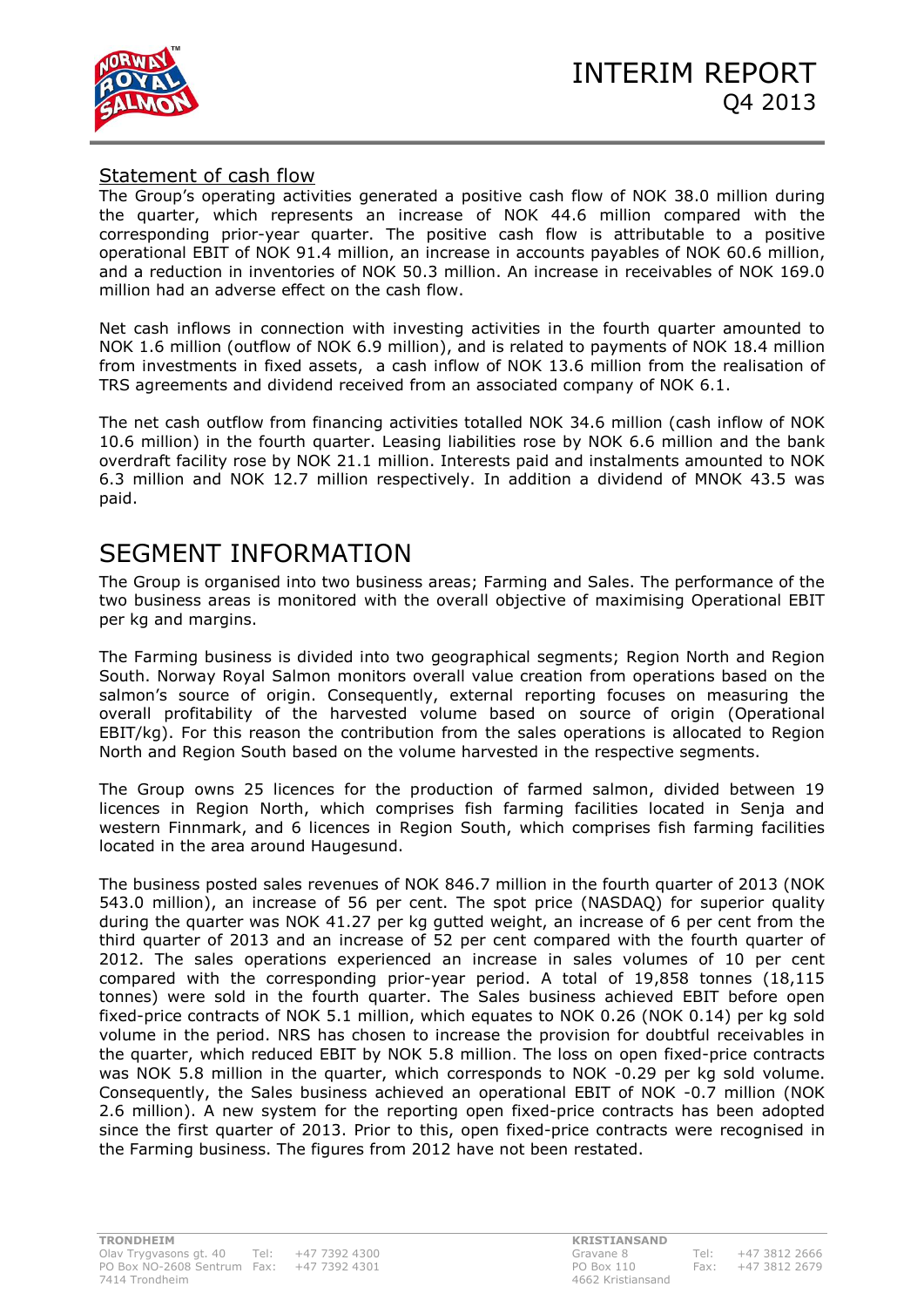



## Statement of cash flow

The Group's operating activities generated a positive cash flow of NOK 38.0 million during the quarter, which represents an increase of NOK 44.6 million compared with the corresponding prior-year quarter. The positive cash flow is attributable to a positive operational EBIT of NOK 91.4 million, an increase in accounts payables of NOK 60.6 million, and a reduction in inventories of NOK 50.3 million. An increase in receivables of NOK 169.0 million had an adverse effect on the cash flow.

Net cash inflows in connection with investing activities in the fourth quarter amounted to NOK 1.6 million (outflow of NOK 6.9 million), and is related to payments of NOK 18.4 million from investments in fixed assets, a cash inflow of NOK 13.6 million from the realisation of TRS agreements and dividend received from an associated company of NOK 6.1.

The net cash outflow from financing activities totalled NOK 34.6 million (cash inflow of NOK 10.6 million) in the fourth quarter. Leasing liabilities rose by NOK 6.6 million and the bank overdraft facility rose by NOK 21.1 million. Interests paid and instalments amounted to NOK 6.3 million and NOK 12.7 million respectively. In addition a dividend of MNOK 43.5 was paid.

# SEGMENT INFORMATION

The Group is organised into two business areas; Farming and Sales. The performance of the two business areas is monitored with the overall objective of maximising Operational EBIT per kg and margins.

The Farming business is divided into two geographical segments; Region North and Region South. Norway Royal Salmon monitors overall value creation from operations based on the salmon's source of origin. Consequently, external reporting focuses on measuring the overall profitability of the harvested volume based on source of origin (Operational EBIT/kg). For this reason the contribution from the sales operations is allocated to Region North and Region South based on the volume harvested in the respective segments.

The Group owns 25 licences for the production of farmed salmon, divided between 19 licences in Region North, which comprises fish farming facilities located in Senja and western Finnmark, and 6 licences in Region South, which comprises fish farming facilities located in the area around Haugesund.

The business posted sales revenues of NOK 846.7 million in the fourth quarter of 2013 (NOK 543.0 million), an increase of 56 per cent. The spot price (NASDAQ) for superior quality during the quarter was NOK 41.27 per kg gutted weight, an increase of 6 per cent from the third quarter of 2013 and an increase of 52 per cent compared with the fourth quarter of 2012. The sales operations experienced an increase in sales volumes of 10 per cent compared with the corresponding prior-year period. A total of 19,858 tonnes (18,115 tonnes) were sold in the fourth quarter. The Sales business achieved EBIT before open fixed-price contracts of NOK 5.1 million, which equates to NOK 0.26 (NOK 0.14) per kg sold volume in the period. NRS has chosen to increase the provision for doubtful receivables in the quarter, which reduced EBIT by NOK 5.8 million. The loss on open fixed-price contracts was NOK 5.8 million in the quarter, which corresponds to NOK -0.29 per kg sold volume. Consequently, the Sales business achieved an operational EBIT of NOK -0.7 million (NOK 2.6 million). A new system for the reporting open fixed-price contracts has been adopted since the first quarter of 2013. Prior to this, open fixed-price contracts were recognised in the Farming business. The figures from 2012 have not been restated.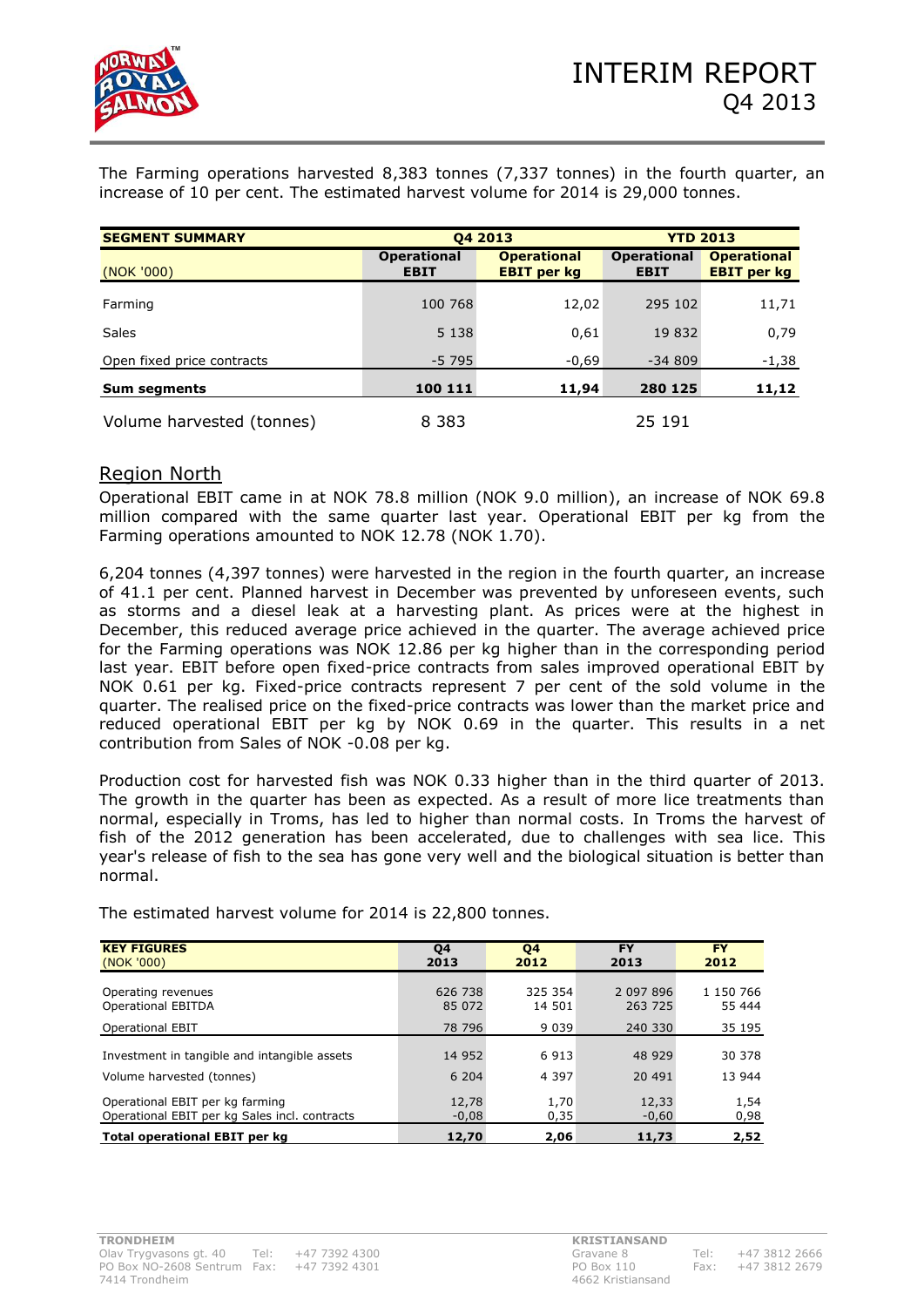

The Farming operations harvested 8,383 tonnes (7,337 tonnes) in the fourth quarter, an increase of 10 per cent. The estimated harvest volume for 2014 is 29,000 tonnes.

| <b>SEGMENT SUMMARY</b>     |                                   | 04 2013                                  | <b>YTD 2013</b>                   |                                          |  |  |
|----------------------------|-----------------------------------|------------------------------------------|-----------------------------------|------------------------------------------|--|--|
| (NOK '000)                 | <b>Operational</b><br><b>EBIT</b> | <b>Operational</b><br><b>EBIT</b> per kg | <b>Operational</b><br><b>EBIT</b> | <b>Operational</b><br><b>EBIT</b> per kg |  |  |
| Farming                    | 100 768                           | 12,02                                    | 295 102                           | 11,71                                    |  |  |
| Sales                      | 5 1 3 8                           | 0,61                                     | 19 832                            | 0,79                                     |  |  |
| Open fixed price contracts | $-5795$                           | $-0,69$                                  | $-34809$                          | $-1,38$                                  |  |  |
| <b>Sum segments</b>        | 100 111                           | 11,94                                    | 280 125                           | 11,12                                    |  |  |
| Volume harvested (tonnes)  | 8 3 8 3                           |                                          | 25 191                            |                                          |  |  |

## Region North

Operational EBIT came in at NOK 78.8 million (NOK 9.0 million), an increase of NOK 69.8 million compared with the same quarter last year. Operational EBIT per kg from the Farming operations amounted to NOK 12.78 (NOK 1.70).

6,204 tonnes (4,397 tonnes) were harvested in the region in the fourth quarter, an increase of 41.1 per cent. Planned harvest in December was prevented by unforeseen events, such as storms and a diesel leak at a harvesting plant. As prices were at the highest in December, this reduced average price achieved in the quarter. The average achieved price for the Farming operations was NOK 12.86 per kg higher than in the corresponding period last year. EBIT before open fixed-price contracts from sales improved operational EBIT by NOK 0.61 per kg. Fixed-price contracts represent 7 per cent of the sold volume in the quarter. The realised price on the fixed-price contracts was lower than the market price and reduced operational EBIT per kg by NOK 0.69 in the quarter. This results in a net contribution from Sales of NOK -0.08 per kg.

Production cost for harvested fish was NOK 0.33 higher than in the third quarter of 2013. The growth in the quarter has been as expected. As a result of more lice treatments than normal, especially in Troms, has led to higher than normal costs. In Troms the harvest of fish of the 2012 generation has been accelerated, due to challenges with sea lice. This year's release of fish to the sea has gone very well and the biological situation is better than normal.

| <b>KEY FIGURES</b>                            | Q4      | <b>Q4</b> | <b>FY</b> | <b>FY</b> |
|-----------------------------------------------|---------|-----------|-----------|-----------|
| (NOK'000)                                     | 2013    | 2012      | 2013      | 2012      |
| Operating revenues                            | 626 738 | 325 354   | 2 097 896 | 1 150 766 |
| <b>Operational EBITDA</b>                     | 85 072  | 14 501    | 263 725   | 55 444    |
| <b>Operational EBIT</b>                       | 78 796  | 9 0 3 9   | 240 330   | 35 195    |
| Investment in tangible and intangible assets  | 14 952  | 6913      | 48 9 29   | 30 378    |
| Volume harvested (tonnes)                     | 6 204   | 4 3 9 7   | 20 491    | 13 944    |
| Operational EBIT per kg farming               | 12,78   | 1,70      | 12,33     | 1,54      |
| Operational EBIT per kg Sales incl. contracts | $-0,08$ | 0,35      | $-0,60$   | 0,98      |
| Total operational EBIT per kg                 | 12,70   | 2,06      | 11,73     | 2,52      |

The estimated harvest volume for 2014 is 22,800 tonnes.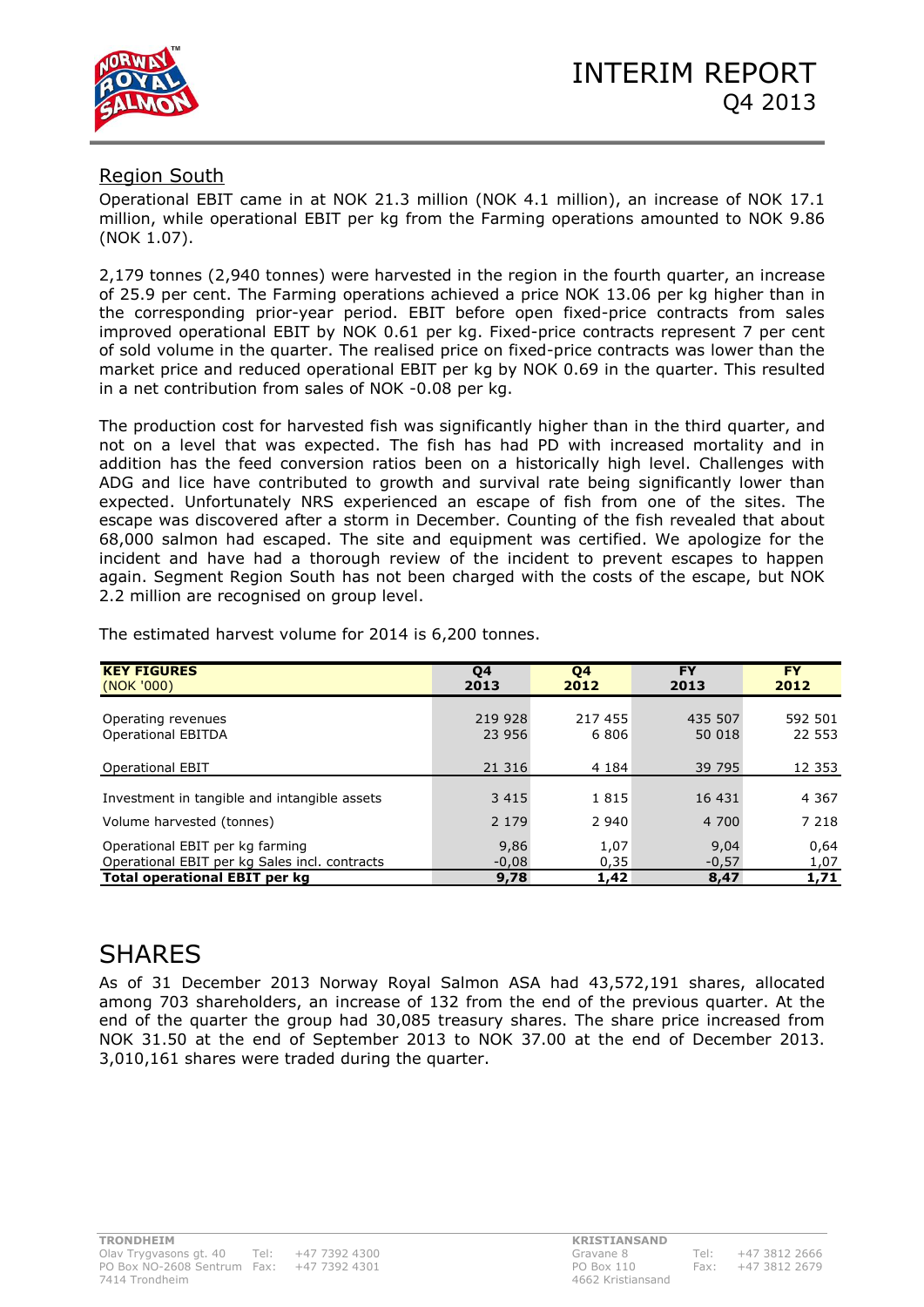

# Region South

Operational EBIT came in at NOK 21.3 million (NOK 4.1 million), an increase of NOK 17.1 million, while operational EBIT per kg from the Farming operations amounted to NOK 9.86 (NOK 1.07).

2,179 tonnes (2,940 tonnes) were harvested in the region in the fourth quarter, an increase of 25.9 per cent. The Farming operations achieved a price NOK 13.06 per kg higher than in the corresponding prior-year period. EBIT before open fixed-price contracts from sales improved operational EBIT by NOK 0.61 per kg. Fixed-price contracts represent 7 per cent of sold volume in the quarter. The realised price on fixed-price contracts was lower than the market price and reduced operational EBIT per kg by NOK 0.69 in the quarter. This resulted in a net contribution from sales of NOK -0.08 per kg.

The production cost for harvested fish was significantly higher than in the third quarter, and not on a level that was expected. The fish has had PD with increased mortality and in addition has the feed conversion ratios been on a historically high level. Challenges with ADG and lice have contributed to growth and survival rate being significantly lower than expected. Unfortunately NRS experienced an escape of fish from one of the sites. The escape was discovered after a storm in December. Counting of the fish revealed that about 68,000 salmon had escaped. The site and equipment was certified. We apologize for the incident and have had a thorough review of the incident to prevent escapes to happen again. Segment Region South has not been charged with the costs of the escape, but NOK 2.2 million are recognised on group level.

| <b>KEY FIGURES</b><br>(NOK '000)                                                 | Q4<br>2013        | Q4<br>2012      | <b>FY</b><br>2013 | <b>FY</b><br>2012 |
|----------------------------------------------------------------------------------|-------------------|-----------------|-------------------|-------------------|
| Operating revenues<br><b>Operational EBITDA</b>                                  | 219 928<br>23 956 | 217 455<br>6806 | 435 507<br>50 018 | 592 501<br>22 553 |
| <b>Operational EBIT</b>                                                          | 21 316            | 4 1 8 4         | 39 795            | 12 3 5 3          |
| Investment in tangible and intangible assets                                     | 3 4 1 5           | 1815            | 16 431            | 4 3 6 7           |
| Volume harvested (tonnes)                                                        | 2 1 7 9           | 2 940           | 4 700             | 7 2 1 8           |
| Operational EBIT per kg farming<br>Operational EBIT per kg Sales incl. contracts | 9,86<br>$-0,08$   | 1,07<br>0,35    | 9,04<br>$-0,57$   | 0,64<br>1,07      |
| <b>Total operational EBIT per kg</b>                                             | 9,78              | 1,42            | 8,47              | 1,71              |

The estimated harvest volume for 2014 is 6,200 tonnes.

# SHARES

As of 31 December 2013 Norway Royal Salmon ASA had 43,572,191 shares, allocated among 703 shareholders, an increase of 132 from the end of the previous quarter. At the end of the quarter the group had 30,085 treasury shares. The share price increased from NOK 31.50 at the end of September 2013 to NOK 37.00 at the end of December 2013. 3,010,161 shares were traded during the quarter.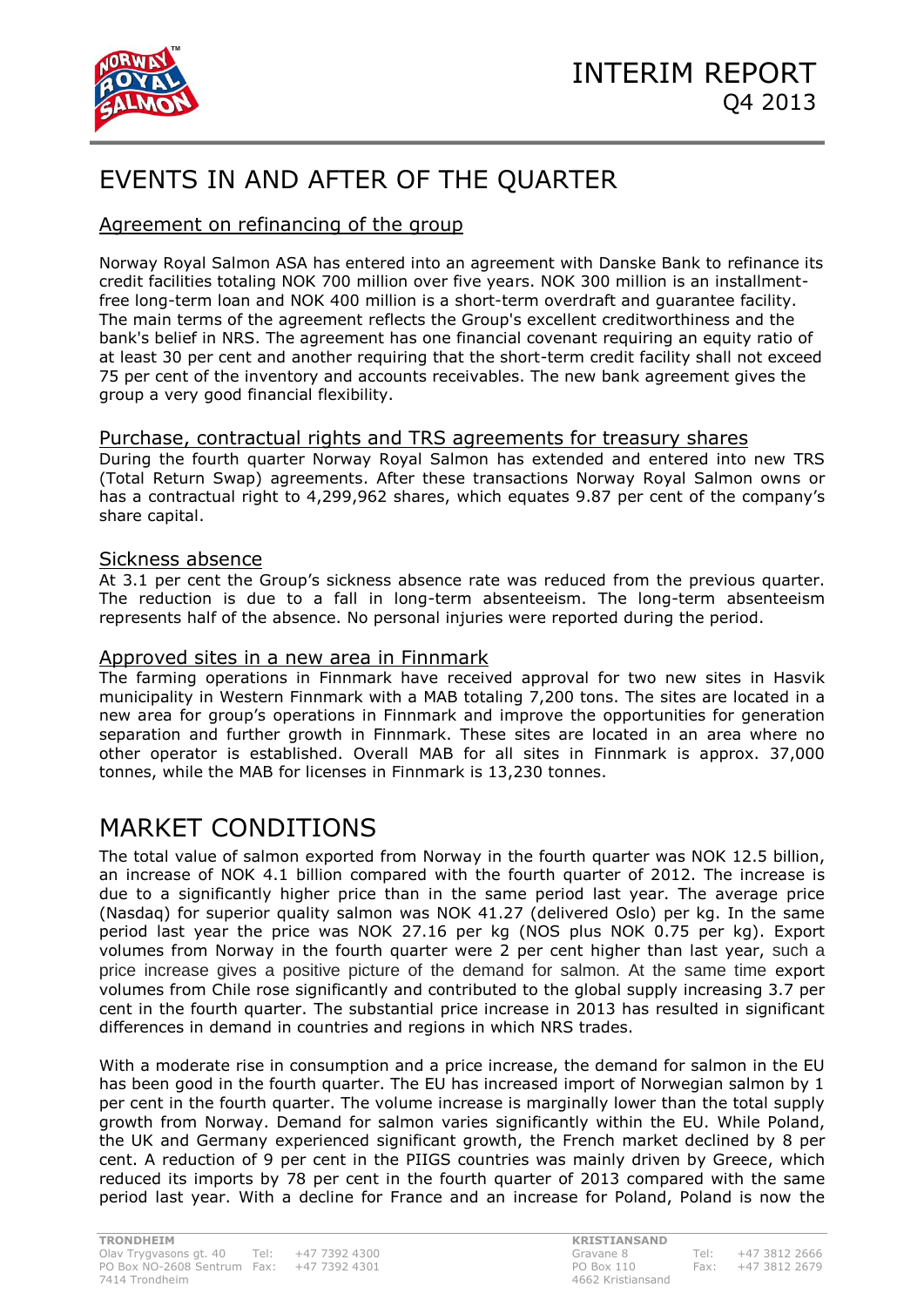

# EVENTS IN AND AFTER OF THE QUARTER

# Agreement on refinancing of the group

Norway Royal Salmon ASA has entered into an agreement with Danske Bank to refinance its credit facilities totaling NOK 700 million over five years. NOK 300 million is an installmentfree long-term loan and NOK 400 million is a short-term overdraft and guarantee facility. The main terms of the agreement reflects the Group's excellent creditworthiness and the bank's belief in NRS. The agreement has one financial covenant requiring an equity ratio of at least 30 per cent and another requiring that the short-term credit facility shall not exceed 75 per cent of the inventory and accounts receivables. The new bank agreement gives the group a very good financial flexibility.

## Purchase, contractual rights and TRS agreements for treasury shares

During the fourth quarter Norway Royal Salmon has extended and entered into new TRS (Total Return Swap) agreements. After these transactions Norway Royal Salmon owns or has a contractual right to 4,299,962 shares, which equates 9.87 per cent of the company's share capital.

## Sickness absence

At 3.1 per cent the Group's sickness absence rate was reduced from the previous quarter. The reduction is due to a fall in long-term absenteeism. The long-term absenteeism represents half of the absence. No personal injuries were reported during the period.

## Approved sites in a new area in Finnmark

The farming operations in Finnmark have received approval for two new sites in Hasvik municipality in Western Finnmark with a MAB totaling 7,200 tons. The sites are located in a new area for group's operations in Finnmark and improve the opportunities for generation separation and further growth in Finnmark. These sites are located in an area where no other operator is established. Overall MAB for all sites in Finnmark is approx. 37,000 tonnes, while the MAB for licenses in Finnmark is 13,230 tonnes.

# MARKET CONDITIONS

The total value of salmon exported from Norway in the fourth quarter was NOK 12.5 billion, an increase of NOK 4.1 billion compared with the fourth quarter of 2012. The increase is due to a significantly higher price than in the same period last year. The average price (Nasdaq) for superior quality salmon was NOK 41.27 (delivered Oslo) per kg. In the same period last year the price was NOK 27.16 per kg (NOS plus NOK 0.75 per kg). Export volumes from Norway in the fourth quarter were 2 per cent higher than last year, such a price increase gives a positive picture of the demand for salmon. At the same time export volumes from Chile rose significantly and contributed to the global supply increasing 3.7 per cent in the fourth quarter. The substantial price increase in 2013 has resulted in significant differences in demand in countries and regions in which NRS trades.

With a moderate rise in consumption and a price increase, the demand for salmon in the EU has been good in the fourth quarter. The EU has increased import of Norwegian salmon by 1 per cent in the fourth quarter. The volume increase is marginally lower than the total supply growth from Norway. Demand for salmon varies significantly within the EU. While Poland, the UK and Germany experienced significant growth, the French market declined by 8 per cent. A reduction of 9 per cent in the PIIGS countries was mainly driven by Greece, which reduced its imports by 78 per cent in the fourth quarter of 2013 compared with the same period last year. With a decline for France and an increase for Poland, Poland is now the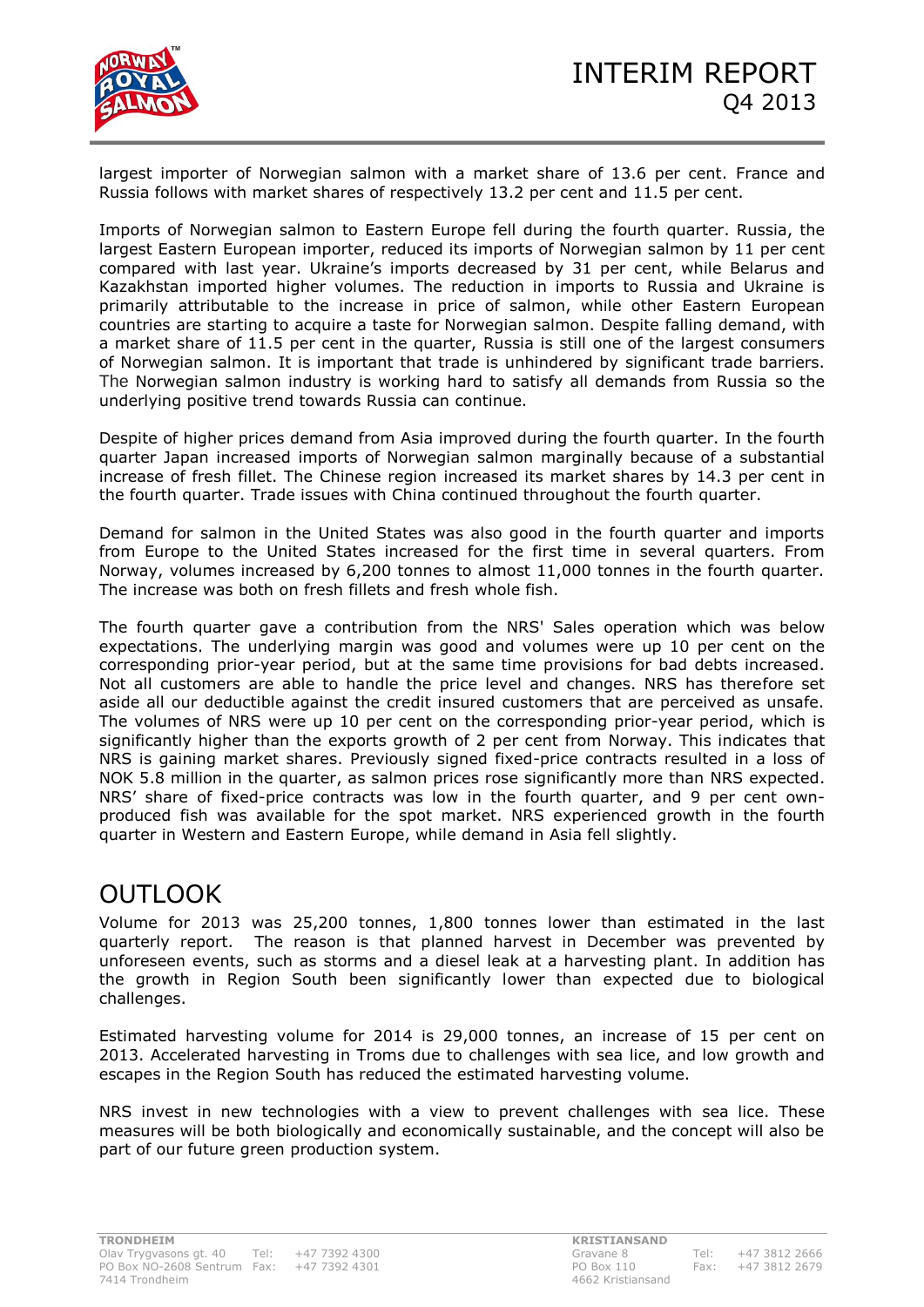

largest importer of Norwegian salmon with a market share of 13.6 per cent. France and Russia follows with market shares of respectively 13.2 per cent and 11.5 per cent.

Imports of Norwegian salmon to Eastern Europe fell during the fourth quarter. Russia, the largest Eastern European importer, reduced its imports of Norwegian salmon by 11 per cent compared with last year. Ukraine's imports decreased by 31 per cent, while Belarus and Kazakhstan imported higher volumes. The reduction in imports to Russia and Ukraine is primarily attributable to the increase in price of salmon, while other Eastern European countries are starting to acquire a taste for Norwegian salmon. Despite falling demand, with a market share of 11.5 per cent in the quarter, Russia is still one of the largest consumers of Norwegian salmon. It is important that trade is unhindered by significant trade barriers. The Norwegian salmon industry is working hard to satisfy all demands from Russia so the underlying positive trend towards Russia can continue.

Despite of higher prices demand from Asia improved during the fourth quarter. In the fourth quarter Japan increased imports of Norwegian salmon marginally because of a substantial increase of fresh fillet. The Chinese region increased its market shares by 14.3 per cent in the fourth quarter. Trade issues with China continued throughout the fourth quarter.

Demand for salmon in the United States was also good in the fourth quarter and imports from Europe to the United States increased for the first time in several quarters. From Norway, volumes increased by 6,200 tonnes to almost 11,000 tonnes in the fourth quarter. The increase was both on fresh fillets and fresh whole fish.

The fourth quarter gave a contribution from the NRS' Sales operation which was below expectations. The underlying margin was good and volumes were up 10 per cent on the corresponding prior-year period, but at the same time provisions for bad debts increased. Not all customers are able to handle the price level and changes. NRS has therefore set aside all our deductible against the credit insured customers that are perceived as unsafe. The volumes of NRS were up 10 per cent on the corresponding prior-year period, which is significantly higher than the exports growth of 2 per cent from Norway. This indicates that NRS is gaining market shares. Previously signed fixed-price contracts resulted in a loss of NOK 5.8 million in the quarter, as salmon prices rose significantly more than NRS expected. NRS' share of fixed-price contracts was low in the fourth quarter, and 9 per cent ownproduced fish was available for the spot market. NRS experienced growth in the fourth quarter in Western and Eastern Europe, while demand in Asia fell slightly.

# OUTLOOK

Volume for 2013 was 25,200 tonnes, 1,800 tonnes lower than estimated in the last quarterly report. The reason is that planned harvest in December was prevented by unforeseen events, such as storms and a diesel leak at a harvesting plant. In addition has the growth in Region South been significantly lower than expected due to biological challenges.

Estimated harvesting volume for 2014 is 29,000 tonnes, an increase of 15 per cent on 2013. Accelerated harvesting in Troms due to challenges with sea lice, and low growth and escapes in the Region South has reduced the estimated harvesting volume.

NRS invest in new technologies with a view to prevent challenges with sea lice. These measures will be both biologically and economically sustainable, and the concept will also be part of our future green production system.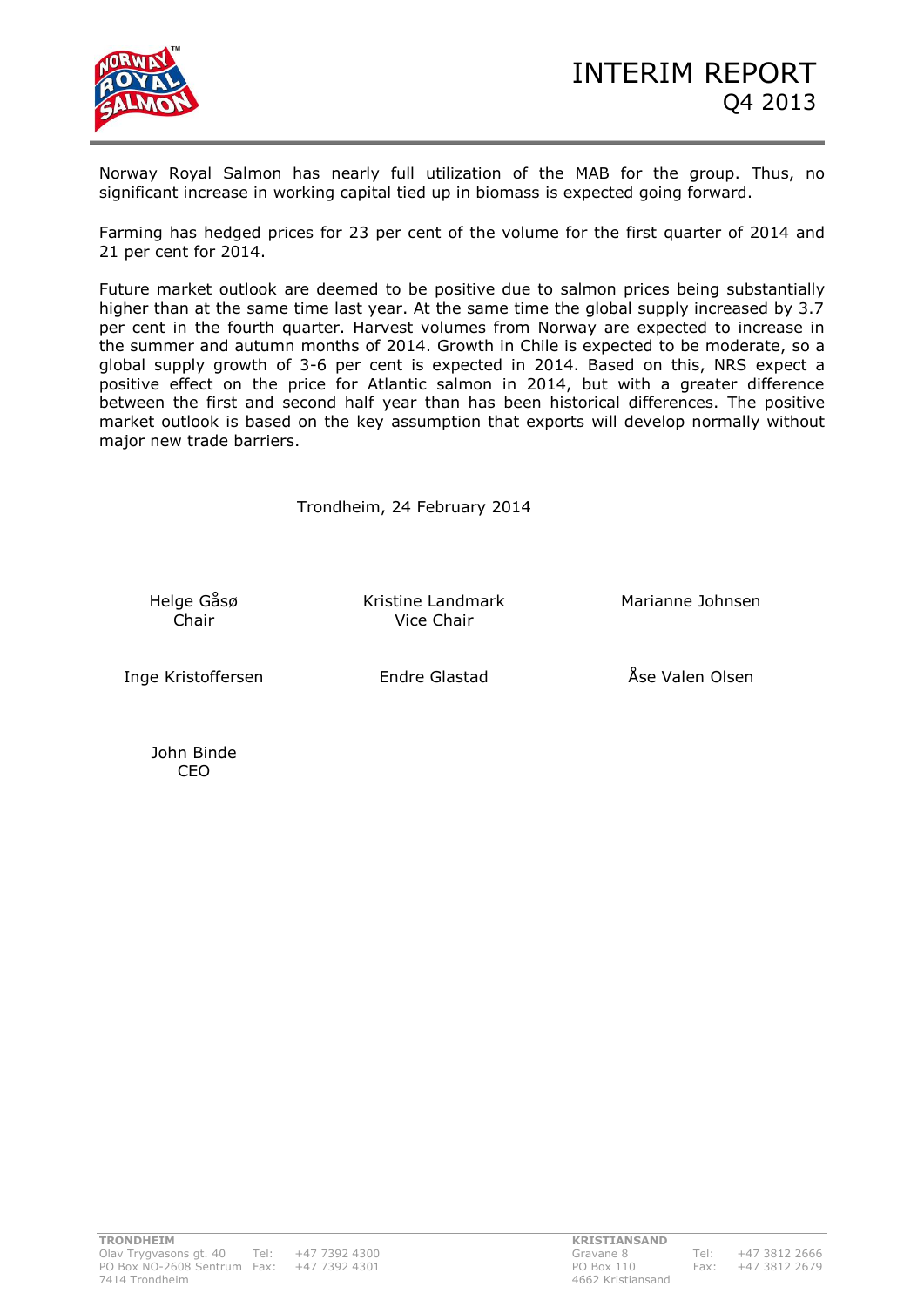

Norway Royal Salmon has nearly full utilization of the MAB for the group. Thus, no significant increase in working capital tied up in biomass is expected going forward.

Farming has hedged prices for 23 per cent of the volume for the first quarter of 2014 and 21 per cent for 2014.

Future market outlook are deemed to be positive due to salmon prices being substantially higher than at the same time last year. At the same time the global supply increased by 3.7 per cent in the fourth quarter. Harvest volumes from Norway are expected to increase in the summer and autumn months of 2014. Growth in Chile is expected to be moderate, so a global supply growth of 3-6 per cent is expected in 2014. Based on this, NRS expect a positive effect on the price for Atlantic salmon in 2014, but with a greater difference between the first and second half year than has been historical differences. The positive market outlook is based on the key assumption that exports will develop normally without major new trade barriers.

Trondheim, 24 February 2014

Helge Gåsø

Kristine Landmark Marianne Johnsen Chair Vice Chair

Inge Kristoffersen Endre Glastad Åse Valen Olsen

John Binde CEO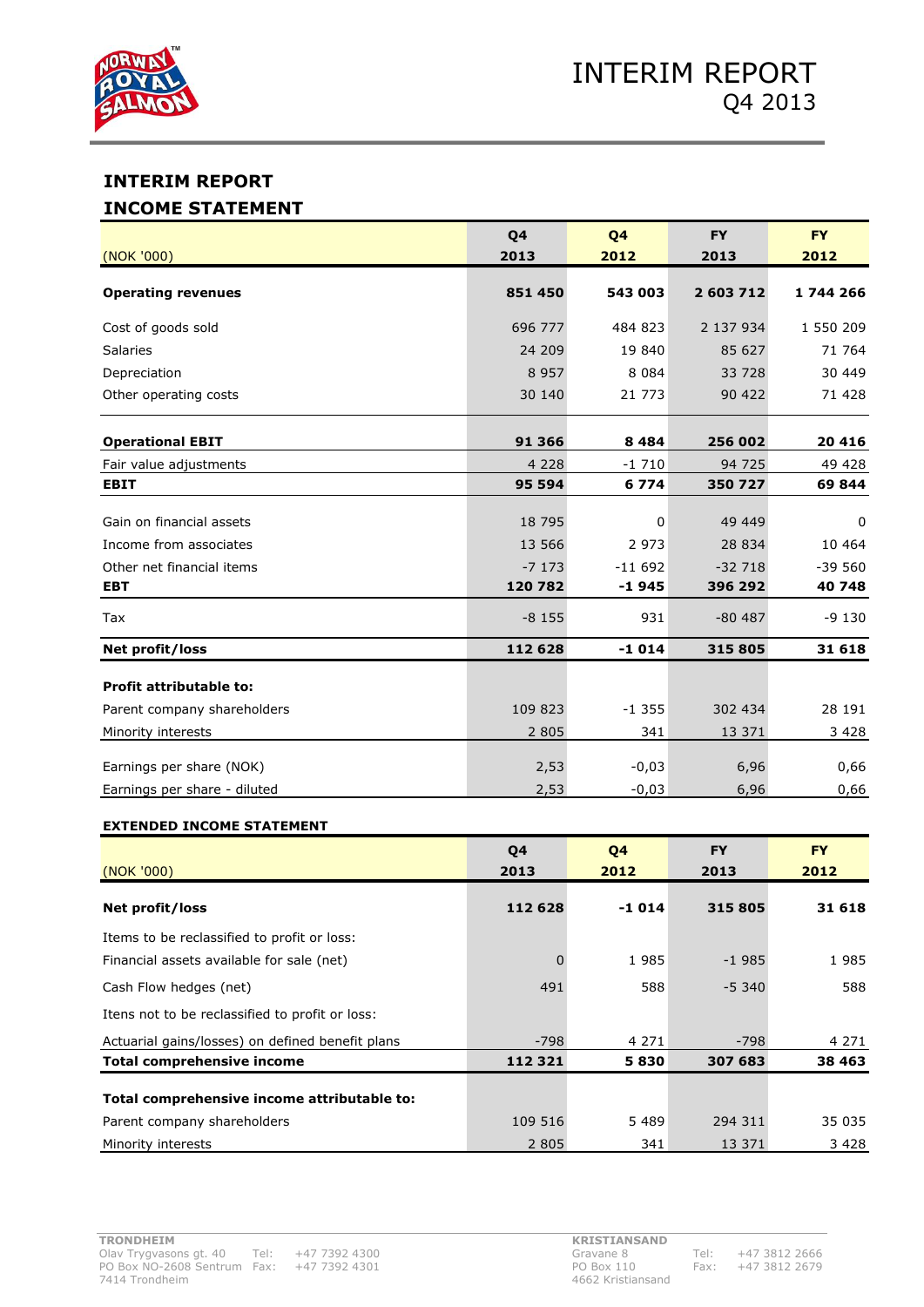

# **INTERIM REPORT INCOME STATEMENT**

| (NOK '000)                     | Q <sub>4</sub><br>2013 | Q <sub>4</sub><br>2012 | <b>FY</b><br>2013 | <b>FY</b><br>2012 |
|--------------------------------|------------------------|------------------------|-------------------|-------------------|
| <b>Operating revenues</b>      | 851 450                | 543 003                | 2 603 712         | 1744266           |
| Cost of goods sold             | 696 777                | 484 823                | 2 137 934         | 1 550 209         |
| <b>Salaries</b>                | 24 209                 | 19 840                 | 85 627            | 71 764            |
| Depreciation                   | 8957                   | 8 0 8 4                | 33 728            | 30 449            |
| Other operating costs          | 30 140                 | 21 773                 | 90 422            | 71 428            |
| <b>Operational EBIT</b>        | 91 366                 | 8 4 8 4                | 256 002           | 20 416            |
| Fair value adjustments         | 4 2 2 8                | $-1710$                | 94 725            | 49 4 28           |
| <b>EBIT</b>                    | 95 594                 | 6774                   | 350 727           | 69844             |
| Gain on financial assets       | 18 7 95                | $\mathbf 0$            | 49 449            | $\Omega$          |
| Income from associates         | 13 566                 | 2 9 7 3                | 28 834            | 10 4 64           |
| Other net financial items      | $-7173$                | $-11692$               | $-32718$          | $-39560$          |
| <b>EBT</b>                     | 120 782                | $-1945$                | 396 292           | 40 748            |
| Tax                            | $-8155$                | 931                    | $-80487$          | $-9130$           |
| Net profit/loss                | 112 628                | $-1014$                | 315 805           | 31 618            |
| <b>Profit attributable to:</b> |                        |                        |                   |                   |
| Parent company shareholders    | 109 823                | $-1355$                | 302 434           | 28 191            |
| Minority interests             | 2 8 0 5                | 341                    | 13 371            | 3 4 2 8           |
| Earnings per share (NOK)       | 2,53                   | $-0,03$                | 6,96              | 0,66              |
| Earnings per share - diluted   | 2,53                   | $-0,03$                | 6,96              | 0,66              |

#### **EXTENDED INCOME STATEMENT**

|                                                  | Q4       | Q4      | <b>FY</b> | <b>FY</b> |
|--------------------------------------------------|----------|---------|-----------|-----------|
| (NOK '000)                                       | 2013     | 2012    | 2013      | 2012      |
| Net profit/loss                                  | 112 628  | $-1014$ | 315 805   | 31 618    |
| Items to be reclassified to profit or loss:      |          |         |           |           |
| Financial assets available for sale (net)        | $\Omega$ | 1985    | $-1985$   | 1985      |
| Cash Flow hedges (net)                           | 491      | 588     | $-5.340$  | 588       |
| Itens not to be reclassified to profit or loss:  |          |         |           |           |
| Actuarial gains/losses) on defined benefit plans | -798     | 4 271   | -798      | 4 2 7 1   |
| Total comprehensive income                       | 112 321  | 5830    | 307 683   | 38 4 63   |
| Total comprehensive income attributable to:      |          |         |           |           |
| Parent company shareholders                      | 109 516  | 5489    | 294 311   | 35 035    |
| Minority interests                               | 2 8 0 5  | 341     | 13 371    | 3428      |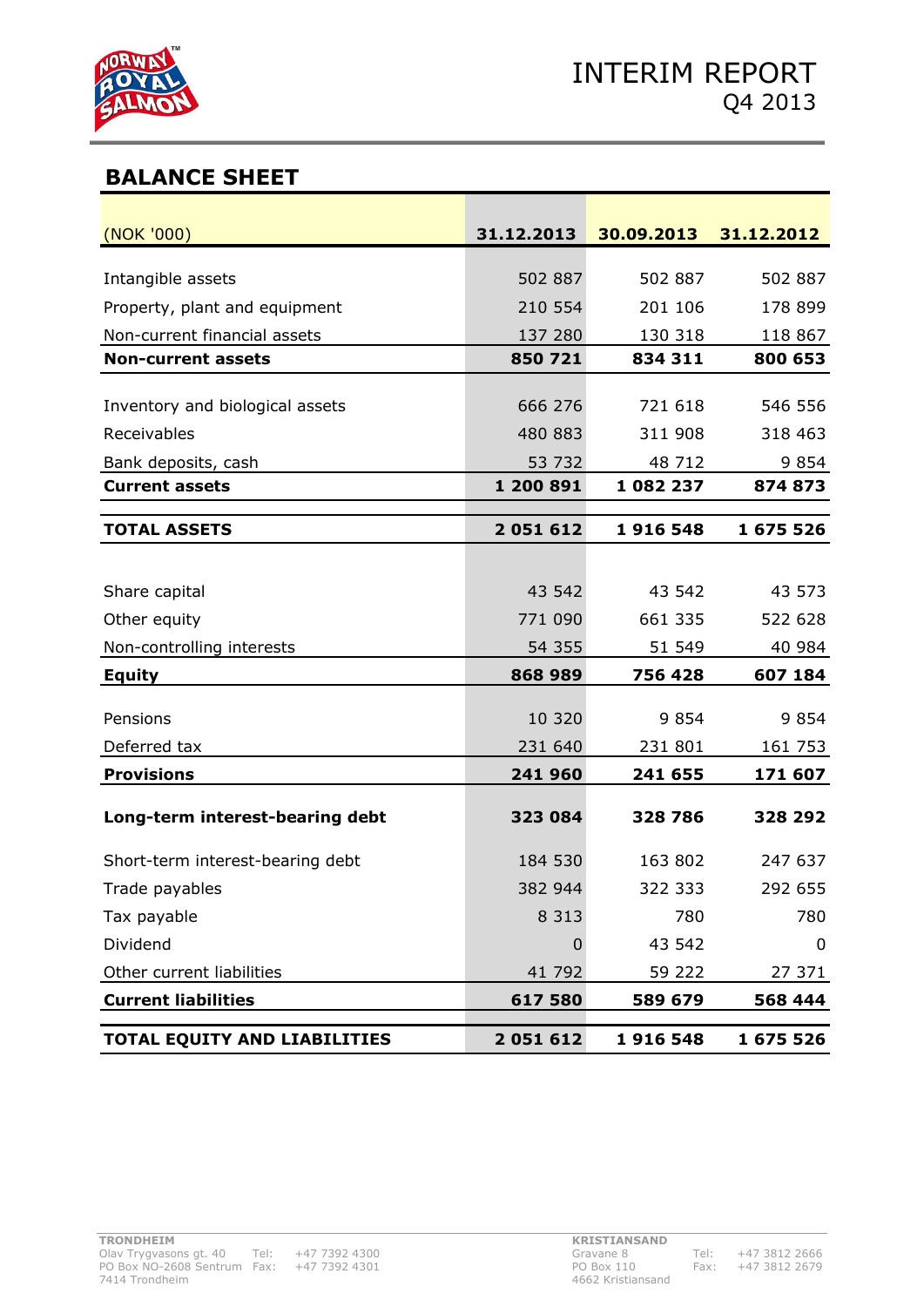

# **BALANCE SHEET**

| (NOK '000)                          | 31.12.2013 | 30.09.2013 31.12.2012 |           |
|-------------------------------------|------------|-----------------------|-----------|
|                                     |            |                       |           |
| Intangible assets                   | 502 887    | 502 887               | 502 887   |
| Property, plant and equipment       | 210 554    | 201 106               | 178 899   |
| Non-current financial assets        | 137 280    | 130 318               | 118 867   |
| <b>Non-current assets</b>           | 850 721    | 834 311               | 800 653   |
| Inventory and biological assets     | 666 276    | 721 618               | 546 556   |
| Receivables                         | 480 883    | 311 908               | 318 463   |
| Bank deposits, cash                 | 53 732     | 48 712                | 9 8 5 4   |
| <b>Current assets</b>               | 1 200 891  | 1 082 237             | 874 873   |
|                                     |            |                       |           |
| <b>TOTAL ASSETS</b>                 | 2051612    | 1916 548              | 1 675 526 |
|                                     |            |                       |           |
| Share capital                       | 43 542     | 43 542                | 43 573    |
| Other equity                        | 771 090    | 661 335               | 522 628   |
| Non-controlling interests           | 54 355     | 51 549                | 40 984    |
| <b>Equity</b>                       | 868 989    | 756 428               | 607 184   |
| Pensions                            | 10 320     | 9854                  | 9854      |
| Deferred tax                        | 231 640    | 231 801               | 161 753   |
| <b>Provisions</b>                   | 241 960    | 241 655               | 171 607   |
|                                     |            |                       |           |
| Long-term interest-bearing debt     | 323 084    | 328 786               | 328 292   |
| Short-term interest-bearing debt    | 184 530    | 163 802               | 247 637   |
| Trade payables                      | 382 944    | 322 333               | 292 655   |
| Tax payable                         | 8 3 1 3    | 780                   | 780       |
| Dividend                            | 0          | 43 542                | 0         |
| Other current liabilities           | 41 792     | 59 222                | 27 371    |
| <b>Current liabilities</b>          | 617 580    | 589 679               | 568 444   |
| <b>TOTAL EQUITY AND LIABILITIES</b> | 2051612    | 1916548               | 1 675 526 |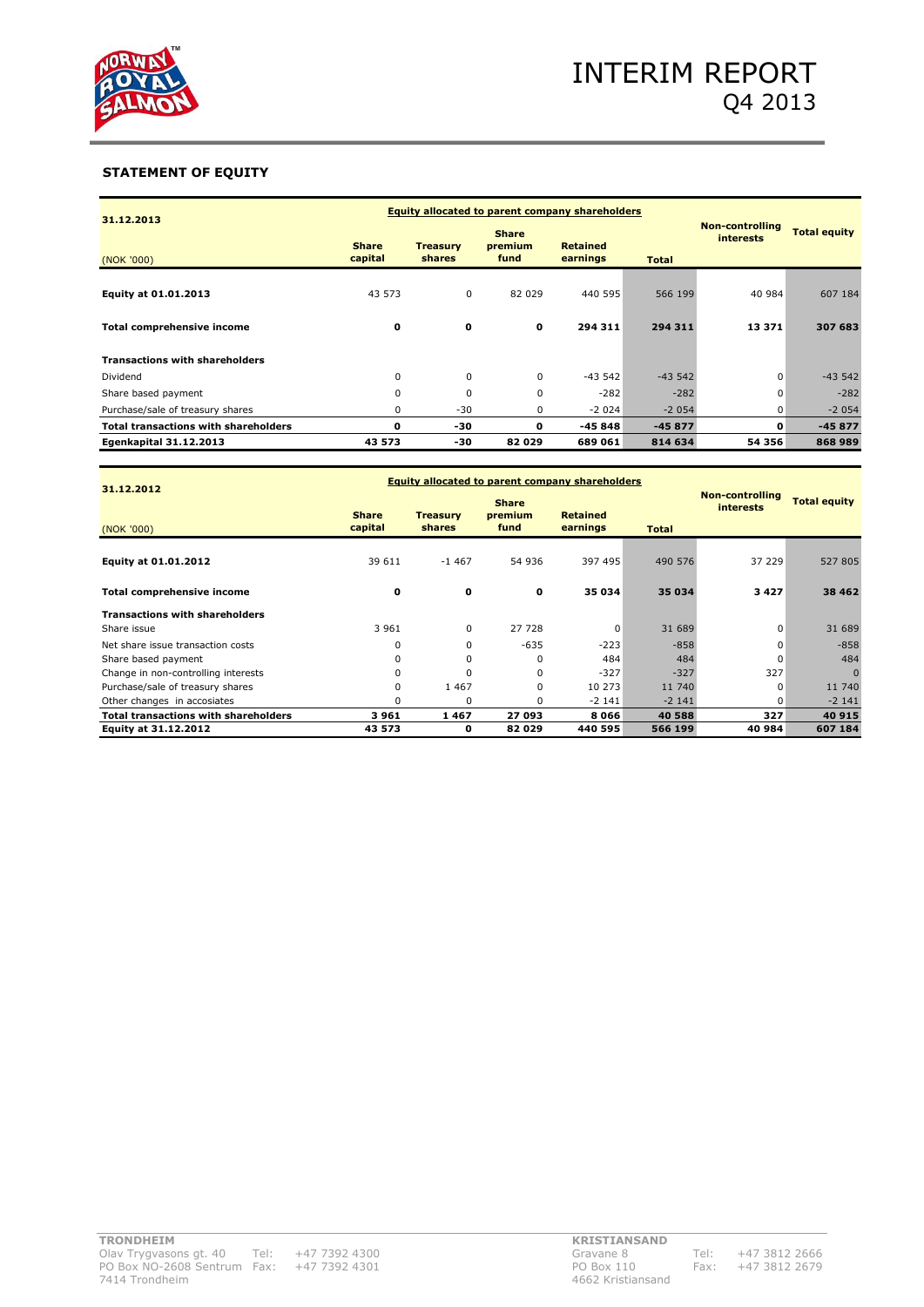

#### **STATEMENT OF EQUITY**

| 31.12.2013                                  |                         | <b>Equity allocated to parent company shareholders</b>                                      |              |          |              |                                            |                     |  |
|---------------------------------------------|-------------------------|---------------------------------------------------------------------------------------------|--------------|----------|--------------|--------------------------------------------|---------------------|--|
| (NOK '000)                                  | <b>Share</b><br>capital | <b>Share</b><br><b>Retained</b><br><b>Treasury</b><br>premium<br>shares<br>earnings<br>fund |              |          | <b>Total</b> | <b>Non-controlling</b><br><b>interests</b> | <b>Total equity</b> |  |
| Equity at 01.01.2013                        | 43 573                  | $\mathbf 0$                                                                                 | 82 029       | 440 595  | 566 199      | 40 984                                     | 607 184             |  |
| Total comprehensive income                  | 0                       | $\mathbf 0$                                                                                 | $\mathbf{o}$ | 294 311  | 294 311      | 13 371                                     | 307 683             |  |
| <b>Transactions with shareholders</b>       |                         |                                                                                             |              |          |              |                                            |                     |  |
| Dividend                                    | 0                       | 0                                                                                           | $\mathbf 0$  | $-43542$ | $-43542$     | $\Omega$                                   | $-43542$            |  |
| Share based payment                         | $\Omega$                | 0                                                                                           | $\Omega$     | $-282$   | $-282$       | $\Omega$                                   | $-282$              |  |
| Purchase/sale of treasury shares            | 0                       | $-30$                                                                                       | 0            | $-2024$  | $-2054$      | $\Omega$                                   | $-2054$             |  |
| <b>Total transactions with shareholders</b> | o                       | -30                                                                                         | 0            | $-45848$ | $-45877$     | o                                          | $-45877$            |  |
| Egenkapital 31.12.2013                      | 43 573                  | -30                                                                                         | 82029        | 689 061  | 814 634      | 54 356                                     | 868 989             |  |

| 31.12.2012                                  |                         | <b>Equity allocated to parent company shareholders</b>                                      |          |          |              |                                            |                     |
|---------------------------------------------|-------------------------|---------------------------------------------------------------------------------------------|----------|----------|--------------|--------------------------------------------|---------------------|
| (NOK '000)                                  | <b>Share</b><br>capital | <b>Share</b><br><b>Retained</b><br><b>Treasury</b><br>premium<br>shares<br>fund<br>earnings |          |          | <b>Total</b> | <b>Non-controlling</b><br><b>interests</b> | <b>Total equity</b> |
| Equity at 01.01.2012                        | 39 611                  | $-1467$                                                                                     | 54 936   | 397 495  | 490 576      | 37 229                                     | 527 805             |
| Total comprehensive income                  | $\mathbf 0$             | 0                                                                                           | 0        | 35 034   | 35 034       | 3427                                       | 38 4 6 2            |
| <b>Transactions with shareholders</b>       |                         |                                                                                             |          |          |              |                                            |                     |
| Share issue                                 | 3 9 6 1                 | $\mathbf 0$                                                                                 | 27 728   | $\Omega$ | 31 689       | $\Omega$                                   | 31 689              |
| Net share issue transaction costs           | 0                       | $\mathbf 0$                                                                                 | $-635$   | $-223$   | $-858$       | $\Omega$                                   | $-858$              |
| Share based payment                         | 0                       | 0                                                                                           | $\Omega$ | 484      | 484          | $\Omega$                                   | 484                 |
| Change in non-controlling interests         | 0                       | 0                                                                                           | $\Omega$ | $-327$   | $-327$       | 327                                        | $\Omega$            |
| Purchase/sale of treasury shares            | 0                       | 1 4 6 7                                                                                     | $\Omega$ | 10 273   | 11 740       | $\Omega$                                   | 11 740              |
| Other changes in accosiates                 | O                       | 0                                                                                           | $\Omega$ | $-2$ 141 | $-2141$      | 0                                          | $-2141$             |
| <b>Total transactions with shareholders</b> | 3961                    | 1467                                                                                        | 27 093   | 8066     | 40 588       | 327                                        | 40 915              |
| Equity at 31.12.2012                        | 43 573                  | 0                                                                                           | 82029    | 440 595  | 566 199      | 40 984                                     | 607 184             |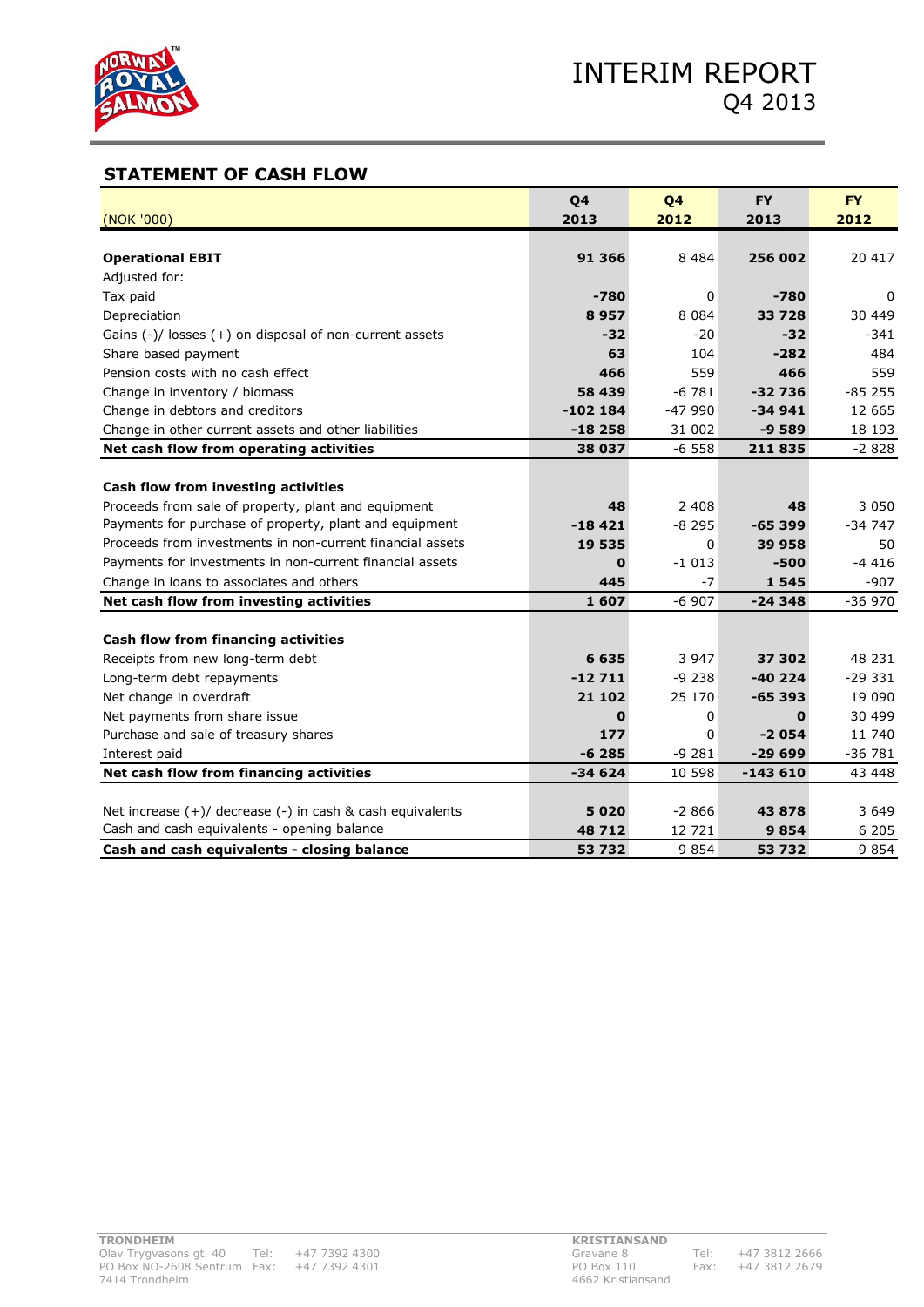

# **STATEMENT OF CASH FLOW**

|                                                               | Q4         | Q4       | <b>FY</b> | <b>FY</b> |
|---------------------------------------------------------------|------------|----------|-----------|-----------|
| (NOK '000)                                                    | 2013       | 2012     | 2013      | 2012      |
|                                                               |            |          |           |           |
| <b>Operational EBIT</b>                                       | 91 366     | 8 4 8 4  | 256 002   | 20 417    |
| Adjusted for:                                                 |            |          |           |           |
| Tax paid                                                      | $-780$     | 0        | -780      | 0         |
| Depreciation                                                  | 8957       | 8 0 8 4  | 33 7 28   | 30 449    |
| Gains $(-)/$ losses $(+)$ on disposal of non-current assets   | $-32$      | $-20$    | $-32$     | $-341$    |
| Share based payment                                           | 63         | 104      | $-282$    | 484       |
| Pension costs with no cash effect                             | 466        | 559      | 466       | 559       |
| Change in inventory / biomass                                 | 58 439     | $-6781$  | $-32736$  | $-85255$  |
| Change in debtors and creditors                               | $-102$ 184 | $-47990$ | $-34941$  | 12 665    |
| Change in other current assets and other liabilities          | $-18258$   | 31 002   | $-9589$   | 18 193    |
| Net cash flow from operating activities                       | 38 037     | $-6558$  | 211835    | $-2828$   |
|                                                               |            |          |           |           |
| Cash flow from investing activities                           |            |          |           |           |
| Proceeds from sale of property, plant and equipment           | 48         | 2 4 0 8  | 48        | 3 0 5 0   |
| Payments for purchase of property, plant and equipment        | $-18421$   | $-8295$  | $-65399$  | $-347$    |
| Proceeds from investments in non-current financial assets     | 19 535     | 0        | 39 958    | 50        |
| Payments for investments in non-current financial assets      | 0          | $-1013$  | $-500$    | $-4416$   |
| Change in loans to associates and others                      | 445        | $-7$     | 1545      | $-907$    |
| Net cash flow from investing activities                       | 1607       | $-6907$  | $-24348$  | $-36970$  |
|                                                               |            |          |           |           |
| Cash flow from financing activities                           |            |          |           |           |
| Receipts from new long-term debt                              | 6 6 3 5    | 3 9 4 7  | 37 302    | 48 231    |
| Long-term debt repayments                                     | $-12711$   | $-9238$  | $-40224$  | $-29331$  |
| Net change in overdraft                                       | 21 102     | 25 170   | $-65393$  | 19 090    |
| Net payments from share issue                                 | 0          | 0        | 0         | 30 499    |
| Purchase and sale of treasury shares                          | 177        | 0        | $-2054$   | 11 740    |
| Interest paid                                                 | $-6285$    | $-9281$  | $-29699$  | $-36781$  |
| Net cash flow from financing activities                       | $-34624$   | 10 598   | $-143610$ | 43 448    |
|                                                               |            |          |           |           |
| Net increase $(+)/$ decrease $(-)$ in cash & cash equivalents | 5020       | $-2866$  | 43878     | 3 649     |
| Cash and cash equivalents - opening balance                   | 48712      | 12 721   | 9854      | 6 205     |
| Cash and cash equivalents - closing balance                   | 53 732     | 9854     | 53 732    | 9854      |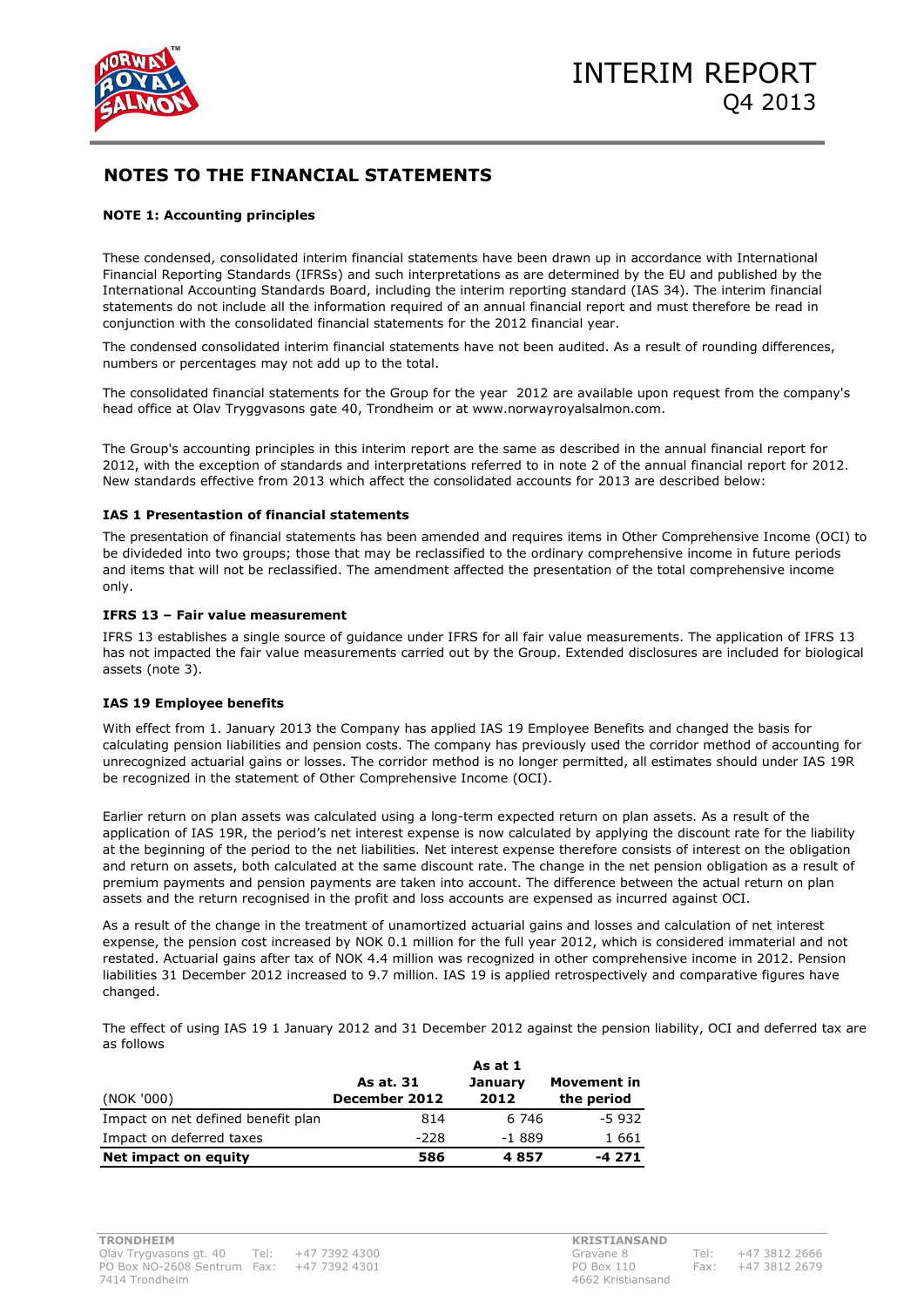

#### **NOTE 1: Accounting principles**

These condensed, consolidated interim financial statements have been drawn up in accordance with International Financial Reporting Standards (IFRSs) and such interpretations as are determined by the EU and published by the International Accounting Standards Board, including the interim reporting standard (IAS 34). The interim financial statements do not include all the information required of an annual financial report and must therefore be read in conjunction with the consolidated financial statements for the 2012 financial year.

The condensed consolidated interim financial statements have not been audited. As a result of rounding differences, numbers or percentages may not add up to the total.

The consolidated financial statements for the Group for the year 2012 are available upon request from the company's head office at Olav Tryggvasons gate 40, Trondheim or at www.norwayroyalsalmon.com.

The Group's accounting principles in this interim report are the same as described in the annual financial report for 2012, with the exception of standards and interpretations referred to in note 2 of the annual financial report for 2012. New standards effective from 2013 which affect the consolidated accounts for 2013 are described below:

#### **IAS 1 Presentastion of financial statements**

The presentation of financial statements has been amended and requires items in Other Comprehensive Income (OCI) to be divideded into two groups; those that may be reclassified to the ordinary comprehensive income in future periods and items that will not be reclassified. The amendment affected the presentation of the total comprehensive income only.

#### **IFRS 13 – Fair value measurement**

IFRS 13 establishes a single source of guidance under IFRS for all fair value measurements. The application of IFRS 13 has not impacted the fair value measurements carried out by the Group. Extended disclosures are included for biological assets (note 3).

#### **IAS 19 Employee benefits**

With effect from 1. January 2013 the Company has applied IAS 19 Employee Benefits and changed the basis for calculating pension liabilities and pension costs. The company has previously used the corridor method of accounting for unrecognized actuarial gains or losses. The corridor method is no longer permitted, all estimates should under IAS 19R be recognized in the statement of Other Comprehensive Income (OCI).

Earlier return on plan assets was calculated using a long-term expected return on plan assets. As a result of the application of IAS 19R, the period's net interest expense is now calculated by applying the discount rate for the liability at the beginning of the period to the net liabilities. Net interest expense therefore consists of interest on the obligation and return on assets, both calculated at the same discount rate. The change in the net pension obligation as a result of premium payments and pension payments are taken into account. The difference between the actual return on plan assets and the return recognised in the profit and loss accounts are expensed as incurred against OCI.

As a result of the change in the treatment of unamortized actuarial gains and losses and calculation of net interest expense, the pension cost increased by NOK 0.1 million for the full year 2012, which is considered immaterial and not restated. Actuarial gains after tax of NOK 4.4 million was recognized in other comprehensive income in 2012. Pension liabilities 31 December 2012 increased to 9.7 million. IAS 19 is applied retrospectively and comparative figures have changed.

The effect of using IAS 19 1 January 2012 and 31 December 2012 against the pension liability, OCI and deferred tax are as follows

|                                    | As at. 31     | <b>January</b> | Movement in |
|------------------------------------|---------------|----------------|-------------|
| (NOK '000)                         | December 2012 | 2012           | the period  |
| Impact on net defined benefit plan | 814           | 6 746          | $-5932$     |
| Impact on deferred taxes           | -228          | $-1.889$       | 1 661       |
| Net impact on equity               | 586           | 4857           | -4 271      |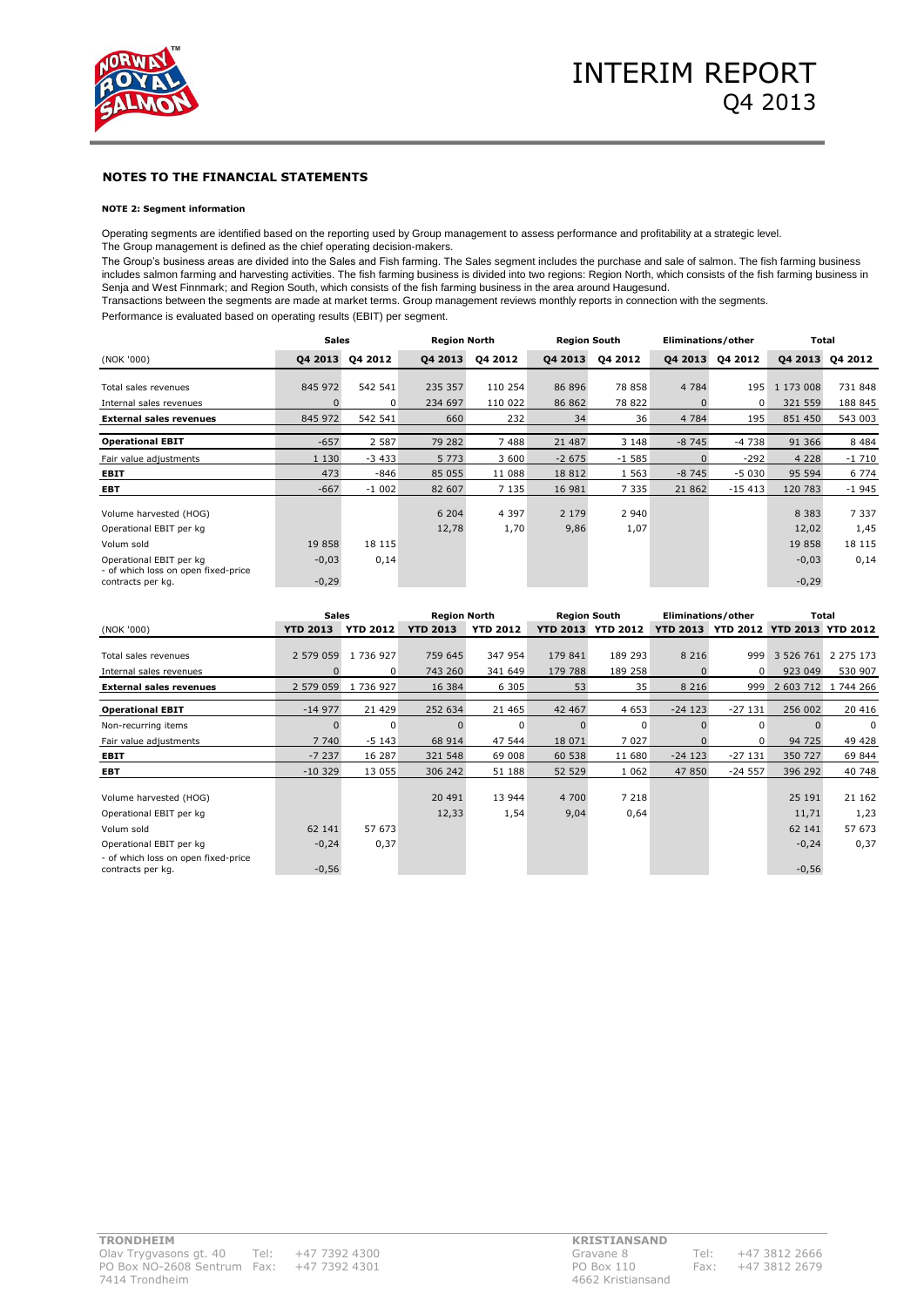

#### **NOTE 2: Segment information**

Operating segments are identified based on the reporting used by Group management to assess performance and profitability at a strategic level. The Group management is defined as the chief operating decision-makers.

The Group's business areas are divided into the Sales and Fish farming. The Sales segment includes the purchase and sale of salmon. The fish farming business includes salmon farming and harvesting activities. The fish farming business is divided into two regions: Region North, which consists of the fish farming business in Senja and West Finnmark; and Region South, which consists of the fish farming business in the area around Haugesund.

Transactions between the segments are made at market terms. Group management reviews monthly reports in connection with the segments.

Performance is evaluated based on operating results (EBIT) per segment.

|                                                                | <b>Sales</b> |         | <b>Region North</b> |         | <b>Region South</b> |         | Eliminations/other |          | Total     |         |
|----------------------------------------------------------------|--------------|---------|---------------------|---------|---------------------|---------|--------------------|----------|-----------|---------|
| (NOK '000)                                                     | 04 2013      | 04 2012 | 04 2013             | 04 2012 | 04 2013             | 04 2012 | 04 2013            | 04 2012  | 04 2013   | 04 2012 |
|                                                                |              |         |                     |         |                     |         |                    |          |           |         |
| Total sales revenues                                           | 845 972      | 542 541 | 235 357             | 110 254 | 86 896              | 78 858  | 4 7 8 4            | 195      | 1 173 008 | 731 848 |
| Internal sales revenues                                        | $\Omega$     | 0       | 234 697             | 110 022 | 86 862              | 78 822  |                    | $\Omega$ | 321 559   | 188 845 |
| <b>External sales revenues</b>                                 | 845 972      | 542 541 | 660                 | 232     | 34                  | 36      | 4 7 8 4            | 195      | 851 450   | 543 003 |
|                                                                |              |         |                     |         |                     |         |                    |          |           |         |
| <b>Operational EBIT</b>                                        | $-657$       | 2 5 8 7 | 79 282              | 7488    | 21 487              | 3 1 4 8 | $-8745$            | $-4738$  | 91 366    | 8 4 8 4 |
| Fair value adjustments                                         | 1 1 3 0      | $-3433$ | 5 7 7 3             | 3 600   | $-2675$             | $-1585$ |                    | $-292$   | 4 2 2 8   | $-1710$ |
| <b>EBIT</b>                                                    | 473          | $-846$  | 85 055              | 11 088  | 18 8 12             | 1 5 6 3 | $-8745$            | $-5030$  | 95 594    | 6 7 7 4 |
| <b>EBT</b>                                                     | $-667$       | $-1002$ | 82 607              | 7 1 3 5 | 16 981              | 7 3 3 5 | 21 862             | $-15413$ | 120 783   | $-1945$ |
| Volume harvested (HOG)                                         |              |         | 6 204               | 4 3 9 7 | 2 1 7 9             | 2 9 4 0 |                    |          | 8 3 8 3   | 7 3 3 7 |
| Operational EBIT per kg                                        |              |         | 12,78               | 1,70    | 9,86                | 1,07    |                    |          | 12,02     | 1,45    |
| Volum sold                                                     | 19858        | 18 115  |                     |         |                     |         |                    |          | 19858     | 18 115  |
| Operational EBIT per kg<br>- of which loss on open fixed-price | $-0,03$      | 0,14    |                     |         |                     |         |                    |          | $-0,03$   | 0,14    |
| contracts per kg.                                              | $-0,29$      |         |                     |         |                     |         |                    |          | $-0,29$   |         |

|                                                                | Sales           |                 |                 | <b>Region North</b><br><b>Region South</b> |                 | Eliminations/other |          | Total                               |           |               |
|----------------------------------------------------------------|-----------------|-----------------|-----------------|--------------------------------------------|-----------------|--------------------|----------|-------------------------------------|-----------|---------------|
| (NOK '000)                                                     | <b>YTD 2013</b> | <b>YTD 2012</b> | <b>YTD 2013</b> | <b>YTD 2012</b>                            | <b>YTD 2013</b> | <b>YTD 2012</b>    |          | YTD 2013 YTD 2012 YTD 2013 YTD 2012 |           |               |
|                                                                |                 |                 |                 |                                            |                 |                    |          |                                     |           |               |
| Total sales revenues                                           | 2 579 059       | 1 736 927       | 759 645         | 347 954                                    | 179 841         | 189 293            | 8 2 1 6  | 999                                 | 3 526 761 | 2 2 7 5 1 7 3 |
| Internal sales revenues                                        |                 | 0               | 743 260         | 341 649                                    | 179 788         | 189 258            |          | $\Omega$                            | 923 049   | 530 907       |
| <b>External sales revenues</b>                                 | 2 579 059       | 1 736 927       | 16 384          | 6 3 0 5                                    | 53              | 35                 | 8 2 1 6  | 999                                 | 2 603 712 | 1 744 266     |
| <b>Operational EBIT</b>                                        | $-14977$        | 21 4 29         | 252 634         | 21 4 65                                    | 42 467          | 4 6 5 3            | $-24123$ | $-27131$                            | 256 002   | 20 416        |
| Non-recurring items                                            | $\Omega$        | $\Omega$        |                 | $\Omega$                                   |                 | $\Omega$           |          | $\Omega$                            |           | $\Omega$      |
| Fair value adjustments                                         | 7 740           | $-5143$         | 68 914          | 47 544                                     | 18 071          | 7 0 2 7            |          | 0                                   | 94 725    | 49 428        |
| EBIT                                                           | $-7237$         | 16 287          | 321 548         | 69 008                                     | 60 538          | 11 680             | $-24123$ | $-27131$                            | 350 727   | 69 844        |
| EBT                                                            | $-10.329$       | 13 0 55         | 306 242         | 51 188                                     | 52 529          | 1 0 6 2            | 47 850   | $-24557$                            | 396 292   | 40 748        |
| Volume harvested (HOG)                                         |                 |                 | 20 491          | 13 944                                     | 4 700           | 7 2 1 8            |          |                                     | 25 191    | 21 162        |
| Operational EBIT per kg                                        |                 |                 | 12,33           | 1,54                                       | 9,04            | 0,64               |          |                                     | 11,71     | 1,23          |
| Volum sold                                                     | 62 141          | 57 673          |                 |                                            |                 |                    |          |                                     | 62 141    | 57 673        |
| Operational EBIT per kg<br>- of which loss on open fixed-price | $-0,24$         | 0,37            |                 |                                            |                 |                    |          |                                     | $-0,24$   | 0,37          |
| contracts per kg.                                              | $-0,56$         |                 |                 |                                            |                 |                    |          |                                     | $-0,56$   |               |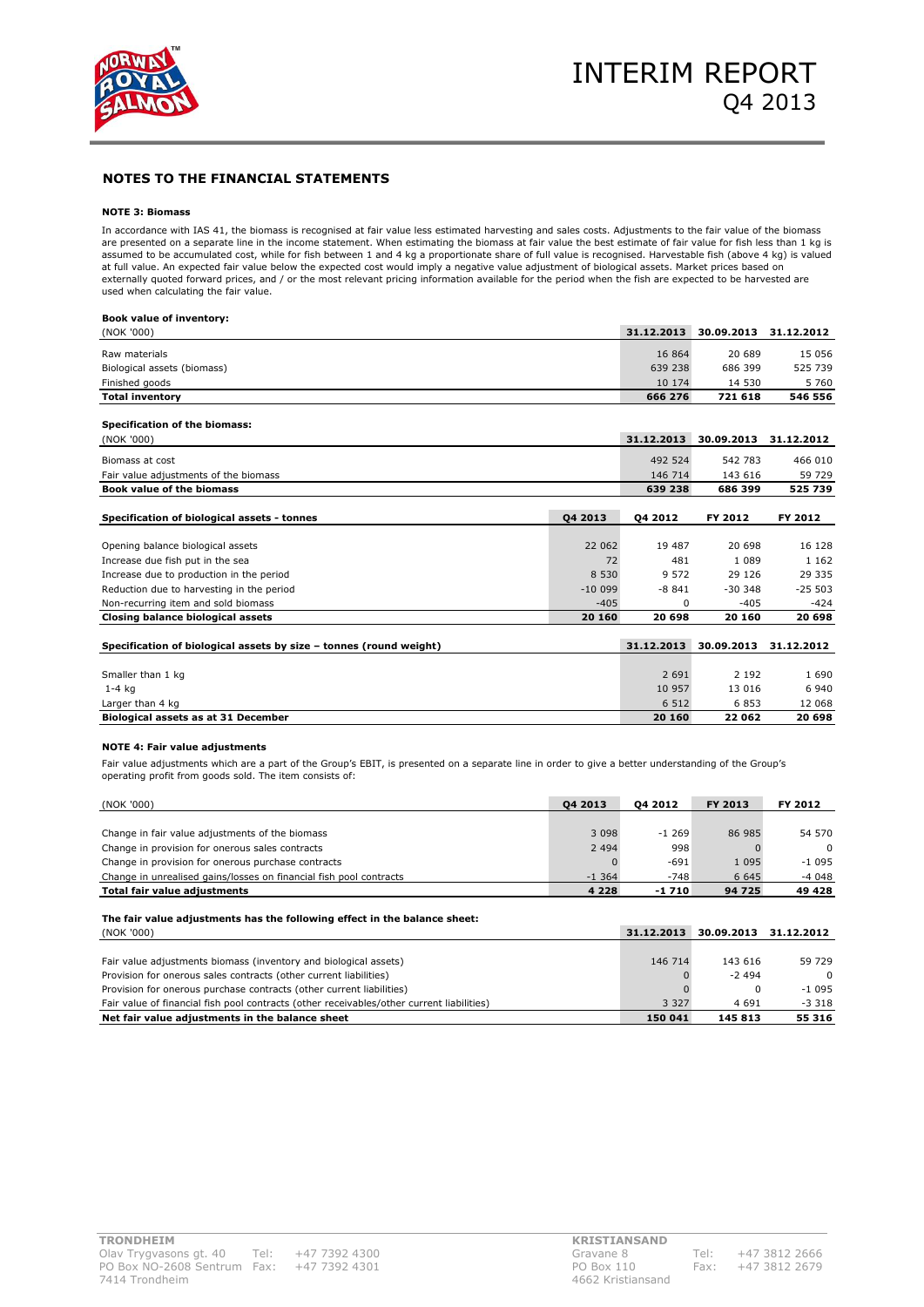

#### **NOTE 3: Biomass**

In accordance with IAS 41, the biomass is recognised at fair value less estimated harvesting and sales costs. Adjustments to the fair value of the biomass are presented on a separate line in the income statement. When estimating the biomass at fair value the best estimate of fair value for fish less than 1 kg is assumed to be accumulated cost, while for fish between 1 and 4 kg a proportionate share of full value is recognised. Harvestable fish (above 4 kg) is valued<br>at full value. An expected fair value below the expected cost wou used when calculating the fair value.

#### **Book value of inventory:**

| (NOK '000)                                                         |          | 31.12.2013 | 30.09.2013 | 31.12.2012 |
|--------------------------------------------------------------------|----------|------------|------------|------------|
| Raw materials                                                      |          | 16 864     | 20 689     | 15 056     |
| Biological assets (biomass)                                        |          | 639 238    | 686 399    | 525 739    |
| Finished goods                                                     |          | 10 174     | 14 530     | 5 7 6 0    |
| <b>Total inventory</b>                                             |          | 666 276    | 721 618    | 546 556    |
|                                                                    |          |            |            |            |
| Specification of the biomass:                                      |          |            |            |            |
| (NOK '000)                                                         |          | 31.12.2013 | 30.09.2013 | 31.12.2012 |
| Biomass at cost                                                    |          | 492 524    | 542 783    | 466 010    |
| Fair value adjustments of the biomass                              |          | 146 714    | 143 616    | 59 729     |
| <b>Book value of the biomass</b>                                   |          | 639 238    | 686 399    | 525 739    |
|                                                                    |          |            |            |            |
| Specification of biological assets - tonnes                        | 04 2013  | 04 2012    | FY 2012    | FY 2012    |
|                                                                    |          |            |            |            |
| Opening balance biological assets                                  | 22 062   | 19 487     | 20 698     | 16 128     |
| Increase due fish put in the sea                                   | 72       | 481        | 1 0 8 9    | 1 1 6 2    |
| Increase due to production in the period                           | 8 5 3 0  | 9 5 7 2    | 29 1 26    | 29 335     |
| Reduction due to harvesting in the period                          | $-10099$ | $-8841$    | $-30.348$  | $-25503$   |
| Non-recurring item and sold biomass                                | $-405$   | $\Omega$   | $-405$     | $-424$     |
| Closing balance biological assets                                  | 20 160   | 20 698     | 20 160     | 20 698     |
|                                                                    |          |            |            |            |
| Specification of biological assets by size - tonnes (round weight) |          | 31.12.2013 | 30.09.2013 | 31.12.2012 |
|                                                                    |          |            |            |            |
| Smaller than 1 kg                                                  |          | 2 6 9 1    | 2 1 9 2    | 1690       |
| $1-4$ kg                                                           |          | 10 957     | 13 0 16    | 6 9 4 0    |
| Larger than 4 kg                                                   |          | 6 5 1 2    | 6853       | 12 068     |
| Biological assets as at 31 December                                |          | 20 160     | 22 062     | 20 698     |

#### **NOTE 4: Fair value adjustments**

Fair value adjustments which are a part of the Group's EBIT, is presented on a separate line in order to give a better understanding of the Group's operating profit from goods sold. The item consists of:

| (NOK '000)                                                                                | 04 2013   | 04 2012    | FY 2013    | FY 2012    |
|-------------------------------------------------------------------------------------------|-----------|------------|------------|------------|
|                                                                                           |           |            |            |            |
| Change in fair value adjustments of the biomass                                           | 3 0 9 8   | $-1269$    | 86 985     | 54 570     |
| Change in provision for onerous sales contracts                                           | 2 4 9 4   | 998        |            | $\Omega$   |
| Change in provision for onerous purchase contracts                                        |           | $-691$     | 1 0 9 5    | $-1095$    |
| Change in unrealised gains/losses on financial fish pool contracts                        | $-1, 364$ | $-748$     | 6 6 4 5    | $-4048$    |
| Total fair value adjustments                                                              | 4 2 2 8   | $-1710$    | 94 725     | 49 4 28    |
| The fair value adjustments has the following effect in the balance sheet:                 |           |            |            |            |
| (NOK '000)                                                                                |           | 31.12.2013 | 30.09.2013 | 31.12.2012 |
|                                                                                           |           |            |            |            |
| Fair value adjustments biomass (inventory and biological assets)                          |           | 146 714    | 143 616    | 59 729     |
| Provision for onerous sales contracts (other current liabilities)                         |           |            | $-2494$    | $\Omega$   |
| Provision for onerous purchase contracts (other current liabilities)                      |           |            |            |            |
|                                                                                           |           |            | $\Omega$   | $-1095$    |
| Fair value of financial fish pool contracts (other receivables/other current liabilities) |           | 3 3 2 7    | 4 6 9 1    | $-3318$    |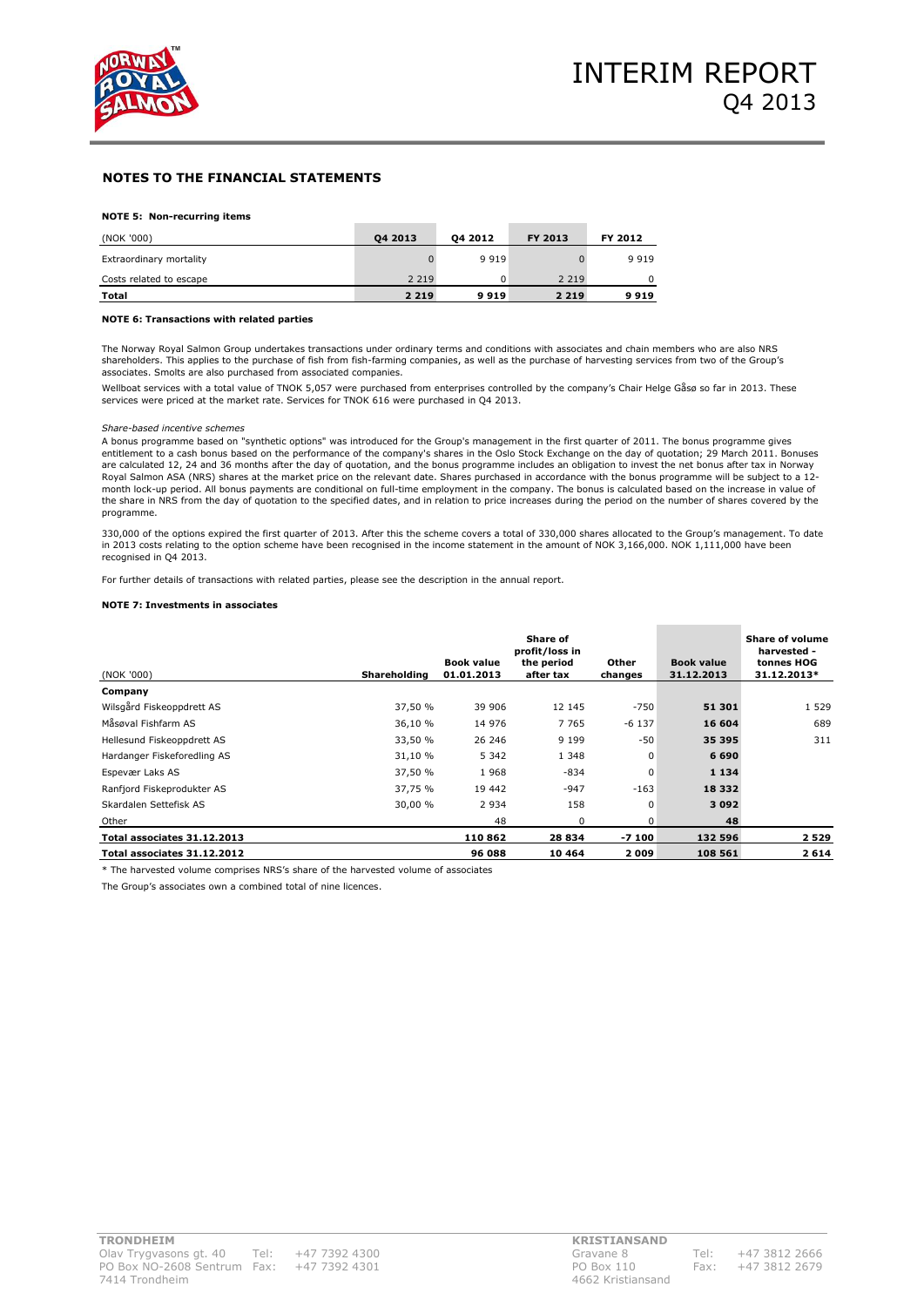

#### **NOTE 5: Non-recurring items**

| (NOK '000)              | 04 2013 | 04 2012 | <b>FY 2013</b> | FY 2012 |
|-------------------------|---------|---------|----------------|---------|
| Extraordinary mortality |         | 9 9 1 9 |                | 9 9 1 9 |
| Costs related to escape | 2 2 1 9 | 0       | 2 2 1 9        | 0       |
| Total                   | 2 2 1 9 | 9919    | 2 2 1 9        | 9919    |

#### **NOTE 6: Transactions with related parties**

The Norway Royal Salmon Group undertakes transactions under ordinary terms and conditions with associates and chain members who are also NRS shareholders. This applies to the purchase of fish from fish-farming companies, as well as the purchase of harvesting services from two of the Group's associates. Smolts are also purchased from associated companies.

Wellboat services with a total value of TNOK 5,057 were purchased from enterprises controlled by the company's Chair Helge Gåsø so far in 2013. These services were priced at the market rate. Services for TNOK 616 were purchased in Q4 2013.

#### *Share-based incentive schemes*

A bonus programme based on "synthetic options" was introduced for the Group's management in the first quarter of 2011. The bonus programme gives entitlement to a cash bonus based on the performance of the company's shares in the Oslo Stock Exchange on the day of quotation; 29 March 2011. Bonuses are calculated 12, 24 and 36 months after the day of quotation, and the bonus programme includes an obligation to invest the net bonus after tax in Norway Royal Salmon ASA (NRS) shares at the market price on the relevant date. Shares purchased in accordance with the bonus programme will be subject to a 12-<br>month lock-up period. All bonus payments are conditional on full-time the share in NRS from the day of quotation to the specified dates, and in relation to price increases during the period on the number of shares covered by the programme.

330,000 of the options expired the first quarter of 2013. After this the scheme covers a total of 330,000 shares allocated to the Group's management. To date in 2013 costs relating to the option scheme have been recognised in the income statement in the amount of NOK 3,166,000. NOK 1,111,000 have been recognised in Q4 2013.

For further details of transactions with related parties, please see the description in the annual report.

#### **NOTE 7: Investments in associates**

| (NOK '000)                  | Shareholding | <b>Book value</b><br>01.01.2013 | Share of<br>profit/loss in<br>the period<br>after tax | Other<br>changes | <b>Book value</b><br>31.12.2013 | Share of volume<br>harvested -<br>tonnes HOG<br>31.12.2013* |
|-----------------------------|--------------|---------------------------------|-------------------------------------------------------|------------------|---------------------------------|-------------------------------------------------------------|
| Company                     |              |                                 |                                                       |                  |                                 |                                                             |
| Wilsgård Fiskeoppdrett AS   | 37,50 %      | 39 906                          | 12 145                                                | $-750$           | 51 301                          | 1 5 2 9                                                     |
| Måsøval Fishfarm AS         | 36,10 %      | 14 976                          | 7 7 6 5                                               | $-6$ 137         | 16 604                          | 689                                                         |
| Hellesund Fiskeoppdrett AS  | 33,50 %      | 26 246                          | 9 1 9 9                                               | $-50$            | 35 395                          | 311                                                         |
| Hardanger Fiskeforedling AS | 31,10 %      | 5 3 4 2                         | 1 3 4 8                                               | $\Omega$         | 6 6 9 0                         |                                                             |
| Espevær Laks AS             | 37,50 %      | 1968                            | $-834$                                                | 0                | 1 1 3 4                         |                                                             |
| Ranfjord Fiskeprodukter AS  | 37,75 %      | 19 442                          | $-947$                                                | $-163$           | 18 3 32                         |                                                             |
| Skardalen Settefisk AS      | 30,00 %      | 2 9 3 4                         | 158                                                   | $\Omega$         | 3 0 9 2                         |                                                             |
| Other                       |              | 48                              | 0                                                     | 0                | 48                              |                                                             |
| Total associates 31.12.2013 |              | 110862                          | 28 834                                                | -7 100           | 132 596                         | 2529                                                        |
| Total associates 31.12.2012 |              | 96 088                          | 10 4 64                                               | 2009             | 108 561                         | 2614                                                        |

\* The harvested volume comprises NRS's share of the harvested volume of associates

The Group's associates own a combined total of nine licences.